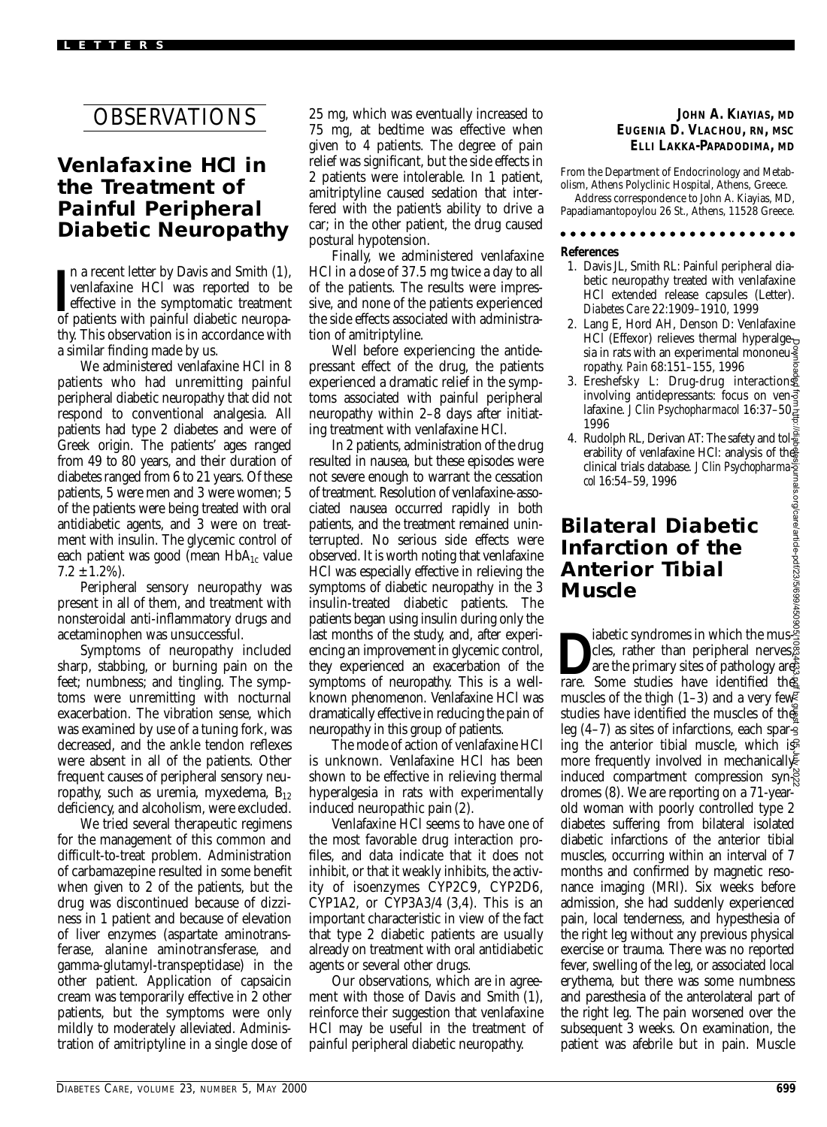# OBSERVATIONS

### **Venlafaxine HCl in the Treatment of Painful Peripheral Diabetic Neuropathy**

In a recent letter by Davis and Smith (1), venlafaxine HCl was reported to be effective in the symptomatic treatment of patients with painful diabetic neuropan a recent letter by Davis and Smith (1), venlafaxine HCl was reported to be effective in the symptomatic treatment thy. This observation is in accordance with a similar finding made by us.

We administered venlafaxine HCl in 8 patients who had unremitting painful peripheral diabetic neuropathy that did not respond to conventional analgesia. All patients had type 2 diabetes and were of Greek origin. The patients' ages ranged from 49 to 80 years, and their duration of diabetes ranged from 6 to 21 years. Of these patients, 5 were men and 3 were women; 5 of the patients were being treated with oral antidiabetic agents, and 3 were on treatment with insulin. The glycemic control of each patient was good (mean  $HbA_{1c}$  value  $7.2 \pm 1.2\%$ ).

Peripheral sensory neuropathy was present in all of them, and treatment with nonsteroidal anti-inflammatory drugs and acetaminophen was unsuccessful.

Symptoms of neuropathy included sharp, stabbing, or burning pain on the feet; numbness; and tingling. The symptoms were unremitting with nocturnal exacerbation. The vibration sense, which was examined by use of a tuning fork, was decreased, and the ankle tendon reflexes were absent in all of the patients. Other frequent causes of peripheral sensory neuropathy, such as uremia, myxedema,  $B_{12}$ deficiency, and alcoholism, were excluded.

We tried several therapeutic regimens for the management of this common and difficult-to-treat problem. Administration of carbamazepine resulted in some benefit when given to 2 of the patients, but the drug was discontinued because of dizziness in 1 patient and because of elevation of liver enzymes (aspartate aminotransferase, alanine aminotransferase, and gamma-glutamyl-transpeptidase) in the other patient. Application of capsaicin cream was temporarily effective in 2 other patients, but the symptoms were only mildly to moderately alleviated. Administration of amitriptyline in a single dose of 25 mg, which was eventually increased to 75 mg, at bedtime was effective when given to 4 patients. The degree of pain relief was significant, but the side effects in 2 patients were intolerable. In 1 patient, amitriptyline caused sedation that interfered with the patient's ability to drive a car; in the other patient, the drug caused postural hypotension.

Finally, we administered venlafaxine HCl in a dose of 37.5 mg twice a day to all of the patients. The results were impressive, and none of the patients experienced the side effects associated with administration of amitriptyline.

Well before experiencing the antidepressant effect of the drug, the patients experienced a dramatic relief in the symptoms associated with painful peripheral neuropathy within 2–8 days after initiating treatment with venlafaxine HCl.

In 2 patients, administration of the drug resulted in nausea, but these episodes were not severe enough to warrant the cessation of treatment. Resolution of venlafaxine-associated nausea occurred rapidly in both patients, and the treatment remained uninterrupted. No serious side effects were observed. It is worth noting that venlafaxine HCl was especially effective in relieving the symptoms of diabetic neuropathy in the 3 insulin-treated diabetic patients. The patients began using insulin during only the last months of the study, and, after experiencing an improvement in glycemic control, they experienced an exacerbation of the symptoms of neuropathy. This is a wellknown phenomenon. Venlafaxine HCl was dramatically effective in reducing the pain of neuropathy in this group of patients.

The mode of action of venlafaxine HCl is unknown. Venlafaxine HCl has been shown to be effective in relieving thermal hyperalgesia in rats with experimentally induced neuropathic pain (2).

Venlafaxine HCl seems to have one of the most favorable drug interaction profiles, and data indicate that it does not inhibit, or that it weakly inhibits, the activity of isoenzymes CYP2C9, CYP2D6, CYP1A2, or CYP3A3/4 (3,4). This is an important characteristic in view of the fact that type 2 diabetic patients are usually already on treatment with oral antidiabetic agents or several other drugs.

Our observations, which are in agreement with those of Davis and Smith (1), reinforce their suggestion that venlafaxine HCl may be useful in the treatment of painful peripheral diabetic neuropathy.

### **JOHN A. KIAYIAS, MD EUGENIA D. VLACHOU, RN, MSC ELLI LAKKA-PAPADODIMA, MD**

From the Department of Endocrinology and Metabolism, Athens Polyclinic Hospital, Athens, Greece. Address correspondence to John A. Kiayias, MD, Papadiamantopoylou 26 St., Athens, 11528 Greece.

### 

- **References** 1. Davis JL, Smith RL: Painful peripheral diabetic neuropathy treated with venlafaxine HCl extended release capsules (Letter). *Diabetes Care* 22:1909–1910, 1999
- 2. Lang E, Hord AH, Denson D: Venlafaxine HCl (Effexor) relieves thermal hyperalgesia in rats with an experimental mononeuropathy. *Pain* 68:151–155, 1996
- 3. Ereshefsky L: Drug-drug interactions involving antidepressants: focus on ven $\vec{3}$ lafaxine. *J Clin Psychopharmacol* 16:37–50, 1996
- 4. Rudolph RL, Derivan AT: The safety and tolerability of venlafaxine HCl: analysis of the<br>clinical trials database. J Clin Psychopharma<sup>2</sup> clinical trials database. *J Clin Psychopharmacol* 16:54–59, 1996

### **Bilateral Diabetic Infarction of the Anterior Tibial Muscle**

iabetic syndromes in which the mus-<br>cles, rather than peripheral nerves.<br>are the primary sites of pathology are<br>rare. Some studies have identified the cles, rather than peripheral nerves are the primary sites of pathology are: rare. Some studies have identified the muscles of the thigh  $(1-3)$  and a very few? studies have identified the muscles of the leg  $(4-7)$  as sites of infarctions, each sparing the anterior tibial muscle, which is more frequently involved in mechanicall induced compartment compression syndromes (8). We are reporting on a 71-yearold woman with poorly controlled type 2 diabetes suffering from bilateral isolated diabetic infarctions of the anterior tibial muscles, occurring within an interval of 7 months and confirmed by magnetic resonance imaging (MRI). Six weeks before admission, she had suddenly experienced pain, local tenderness, and hypesthesia of the right leg without any previous physical exercise or trauma. There was no reported fever, swelling of the leg, or associated local erythema, but there was some numbness and paresthesia of the anterolateral part of the right leg. The pain worsened over the subsequent 3 weeks. On examination, the patient was afebrile but in pain. Muscle Downloaded from http://diabetesjournals.org/care/article-pdf/23/5/699/450905/10834433.pdf by guest on 05 July 2022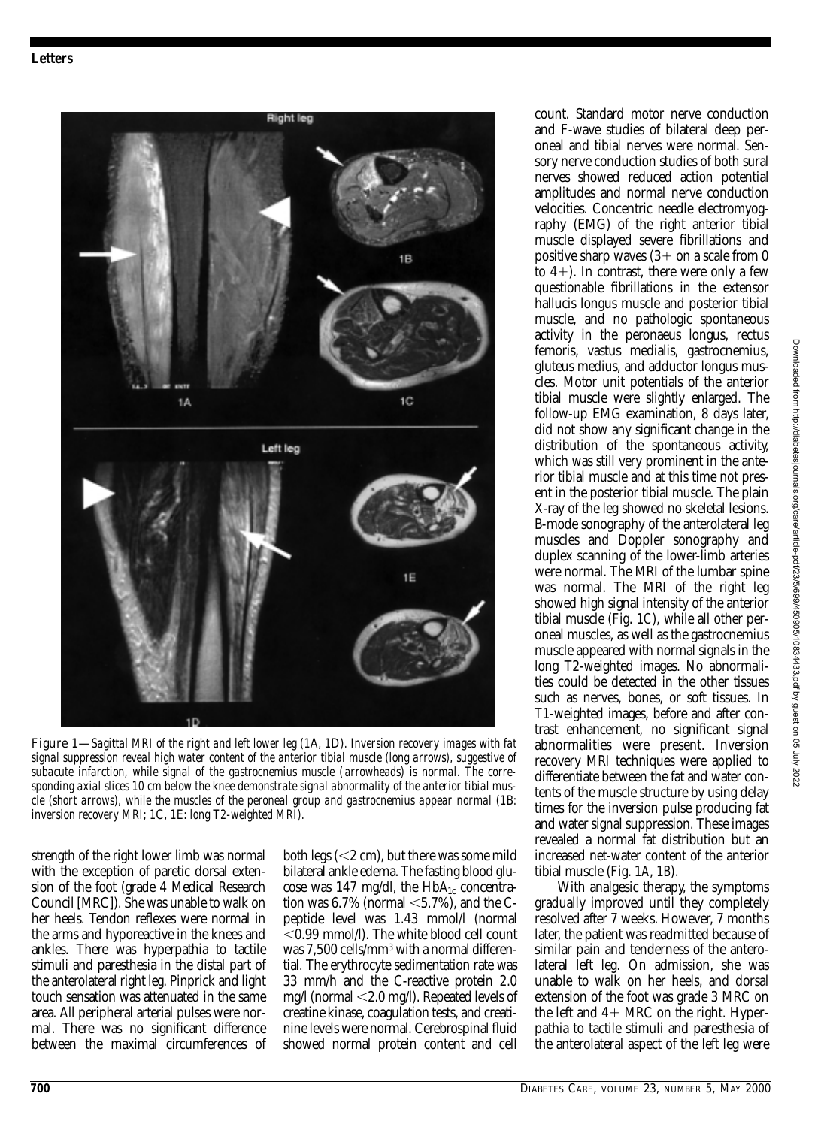

Figure 1—*Sagittal MRI of the right and left lower leg (1*A*, 1*D)*. Inversion recovery images with fat signal suppression reveal high water content of the anterior tibial muscle (long arrows), suggestive of subacute infarction, while signal of the gastrocnemius muscle (arrowheads) is normal. The corresponding axial slices 10 cm below the knee demonstrate signal abnormality of the anterior tibial muscle (short arrows), while the muscles of the peroneal group and gastrocnemius appear normal (1*B*: inversion recovery MRI; 1*C*, 1*E*: long T2-weighted MRI).*

strength of the right lower limb was normal with the exception of paretic dorsal extension of the foot (grade 4 Medical Research Council [MRC]). She was unable to walk on her heels. Tendon reflexes were normal in the arms and hyporeactive in the knees and ankles. There was hyperpathia to tactile stimuli and paresthesia in the distal part of the anterolateral right leg. Pinprick and light touch sensation was attenuated in the same area. All peripheral arterial pulses were normal. There was no significant difference between the maximal circumferences of

both legs  $(<$ 2 cm), but there was some mild bilateral ankle edema. The fasting blood glucose was 147 mg/dl, the  $HbA_{1c}$  concentration was  $6.7\%$  (normal  $\leq 5.7\%$ ), and the Cpeptide level was 1.43 mmol/l (normal -0.99 mmol/l). The white blood cell count was 7,500 cells/mm3 with a normal differential. The erythrocyte sedimentation rate was 33 mm/h and the C-reactive protein 2.0 mg/l (normal -2.0 mg/l). Repeated levels of creatine kinase, coagulation tests, and creatinine levels were normal. Cerebrospinal fluid showed normal protein content and cell

count. Standard motor nerve conduction and F-wave studies of bilateral deep peroneal and tibial nerves were normal. Sensory nerve conduction studies of both sural nerves showed reduced action potential amplitudes and normal nerve conduction velocities. Concentric needle electromyography (EMG) of the right anterior tibial muscle displayed severe fibrillations and positive sharp waves  $(3 +$  on a scale from 0 to  $4+$ ). In contrast, there were only a few questionable fibrillations in the extensor hallucis longus muscle and posterior tibial muscle, and no pathologic spontaneous activity in the peronaeus longus, rectus femoris, vastus medialis, gastrocnemius, gluteus medius, and adductor longus muscles. Motor unit potentials of the anterior tibial muscle were slightly enlarged. The follow-up EMG examination, 8 days later, did not show any significant change in the distribution of the spontaneous activity, which was still very prominent in the anterior tibial muscle and at this time not present in the posterior tibial muscle. The plain X-ray of the leg showed no skeletal lesions. B-mode sonography of the anterolateral leg muscles and Doppler sonography and duplex scanning of the lower-limb arteries were normal. The MRI of the lumbar spine was normal. The MRI of the right leg showed high signal intensity of the anterior tibial muscle (Fig. 1*C*), while all other peroneal muscles, as well as the gastrocnemius muscle appeared with normal signals in the long T2-weighted images. No abnormalities could be detected in the other tissues such as nerves, bones, or soft tissues. In T1-weighted images, before and after contrast enhancement, no significant signal abnormalities were present. Inversion recovery MRI techniques were applied to differentiate between the fat and water contents of the muscle structure by using delay times for the inversion pulse producing fat and water signal suppression. These images revealed a normal fat distribution but an increased net-water content of the anterior tibial muscle (Fig. 1*A*, 1*B*).

With analgesic therapy, the symptoms gradually improved until they completely resolved after 7 weeks. However, 7 months later, the patient was readmitted because of similar pain and tenderness of the anterolateral left leg. On admission, she was unable to walk on her heels, and dorsal extension of the foot was grade 3 MRC on the left and  $4+$  MRC on the right. Hyperpathia to tactile stimuli and paresthesia of the anterolateral aspect of the left leg were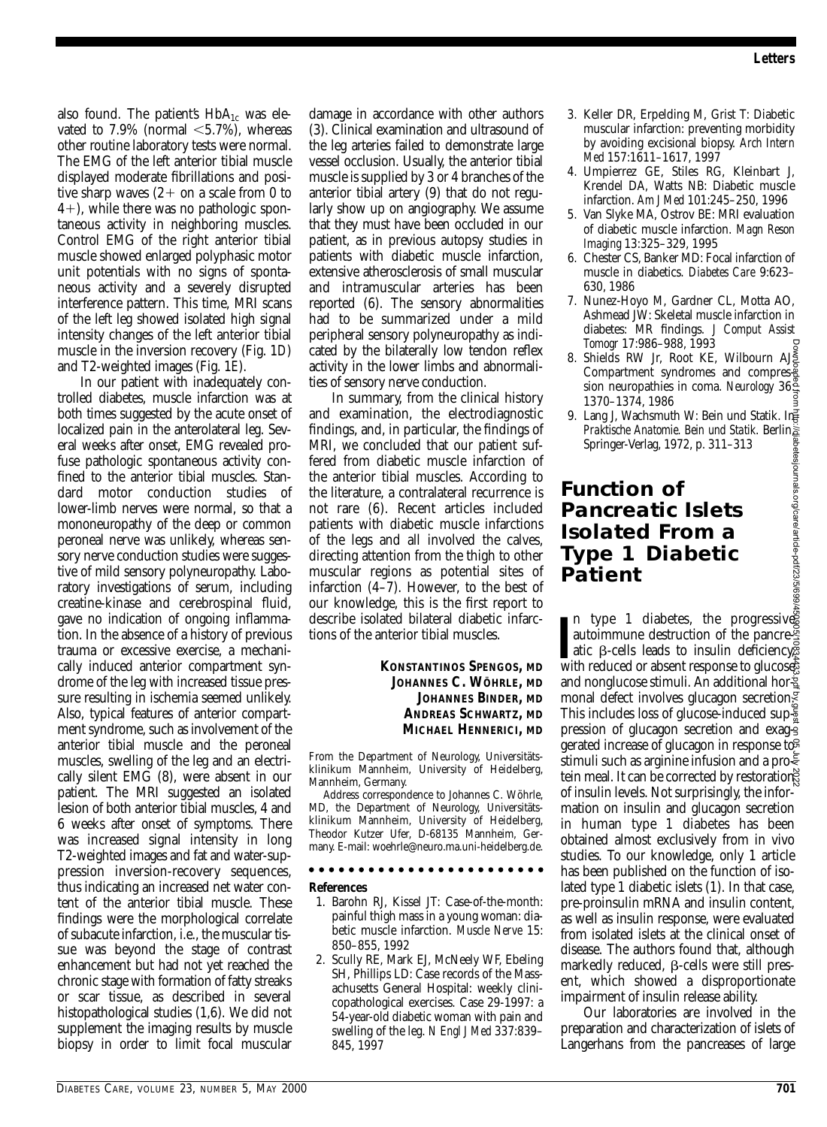also found. The patient's  $HbA_{1c}$  was elevated to  $7.9\%$  (normal  $\leq 5.7\%$ ), whereas other routine laboratory tests were normal. The EMG of the left anterior tibial muscle displayed moderate fibrillations and positive sharp waves  $(2 +$  on a scale from 0 to 4), while there was no pathologic spontaneous activity in neighboring muscles. Control EMG of the right anterior tibial muscle showed enlarged polyphasic motor unit potentials with no signs of spontaneous activity and a severely disrupted interference pattern. This time, MRI scans of the left leg showed isolated high signal intensity changes of the left anterior tibial muscle in the inversion recovery (Fig. 1*D*) and T2-weighted images (Fig. 1*E*).

In our patient with inadequately controlled diabetes, muscle infarction was at both times suggested by the acute onset of localized pain in the anterolateral leg. Several weeks after onset, EMG revealed profuse pathologic spontaneous activity confined to the anterior tibial muscles. Standard motor conduction studies of lower-limb nerves were normal, so that a mononeuropathy of the deep or common peroneal nerve was unlikely, whereas sensory nerve conduction studies were suggestive of mild sensory polyneuropathy. Laboratory investigations of serum, including creatine-kinase and cerebrospinal fluid, gave no indication of ongoing inflammation. In the absence of a history of previous trauma or excessive exercise, a mechanically induced anterior compartment syndrome of the leg with increased tissue pressure resulting in ischemia seemed unlikely. Also, typical features of anterior compartment syndrome, such as involvement of the anterior tibial muscle and the peroneal muscles, swelling of the leg and an electrically silent EMG (8), were absent in our patient. The MRI suggested an isolated lesion of both anterior tibial muscles, 4 and 6 weeks after onset of symptoms. There was increased signal intensity in long T2-weighted images and fat and water-suppression inversion-recovery sequences, thus indicating an increased net water content of the anterior tibial muscle. These findings were the morphological correlate of subacute infarction, i.e., the muscular tissue was beyond the stage of contrast enhancement but had not yet reached the chronic stage with formation of fatty streaks or scar tissue, as described in several histopathological studies (1,6). We did not supplement the imaging results by muscle biopsy in order to limit focal muscular damage in accordance with other authors (3). Clinical examination and ultrasound of the leg arteries failed to demonstrate large vessel occlusion. Usually, the anterior tibial muscle is supplied by 3 or 4 branches of the anterior tibial artery (9) that do not regularly show up on angiography. We assume that they must have been occluded in our patient, as in previous autopsy studies in patients with diabetic muscle infarction, extensive atherosclerosis of small muscular and intramuscular arteries has been reported (6). The sensory abnormalities had to be summarized under a mild peripheral sensory polyneuropathy as indicated by the bilaterally low tendon reflex activity in the lower limbs and abnormalities of sensory nerve conduction.

In summary, from the clinical history and examination, the electrodiagnostic findings, and, in particular, the findings of MRI, we concluded that our patient suffered from diabetic muscle infarction of the anterior tibial muscles. According to the literature, a contralateral recurrence is not rare (6). Recent articles included patients with diabetic muscle infarctions of the legs and all involved the calves, directing attention from the thigh to other muscular regions as potential sites of infarction (4–7). However, to the best of our knowledge, this is the first report to describe isolated bilateral diabetic infarctions of the anterior tibial muscles.

### **KONSTANTINOS SPENGOS, MD JOHANNES C. WÖHRLE, MD JOHANNES BINDER, MD ANDREAS SCHWARTZ, MD MICHAEL HENNERICI, MD**

From the Department of Neurology, Universitätsklinikum Mannheim, University of Heidelberg, Mannheim, Germany.

Address correspondence to Johannes C. Wöhrle, MD, the Department of Neurology, Universitätsklinikum Mannheim, University of Heidelberg, Theodor Kutzer Ufer, D-68135 Mannheim, Germany. E-mail: woehrle@neuro.ma.uni-heidelberg.de.

#### . . . . . . . . . . . . . . . .

**References**

- 1. Barohn RJ, Kissel JT: Case-of-the-month: painful thigh mass in a young woman: diabetic muscle infarction. *Muscle Nerve* 15: 850–855, 1992
- 2. Scully RE, Mark EJ, McNeely WF, Ebeling SH, Phillips LD: Case records of the Massachusetts General Hospital: weekly clinicopathological exercises. Case 29-1997: a 54-year-old diabetic woman with pain and swelling of the leg. *N Engl J Med* 337:839– 845, 1997
- 3. Keller DR, Erpelding M, Grist T: Diabetic muscular infarction: preventing morbidity by avoiding excisional biopsy. *Arch Intern Med* 157:1611–1617, 1997
- 4. Umpierrez GE, Stiles RG, Kleinbart J, Krendel DA, Watts NB: Diabetic muscle infarction. *Am J Med* 101:245–250, 1996
- 5. Van Slyke MA, Ostrov BE: MRI evaluation of diabetic muscle infarction. *Magn Reson Imaging* 13:325–329, 1995
- 6. Chester CS, Banker MD: Focal infarction of muscle in diabetics. *Diabetes Care* 9:623– 630, 1986
- 7. Nunez-Hoyo M, Gardner CL, Motta AO, Ashmead JW: Skeletal muscle infarction in diabetes: MR findings. *J Comput Assist Tomogr* 17:986–988, 1993
- 8. Shields RW Jr, Root KE, Wilbourn AJ Compartment syndromes and compression neuropathies in coma. *Neurology* 36: 1370–1374, 1986
- 9. Lang J, Wachsmuth W: Bein und Statik. In *Praktische Anatomie. Bein und Statik*. Berlin, Springer-Verlag, 1972, p. 311–313

### **Function of Pancreatic Islets Isolated From a Type 1 Diabetic Patient**

In type 1 diabetes, the progressive autoimmune destruction of the pancressite atic β-cells leads to insulin deficiency, with reduced or absent response to glucose n type 1 diabetes, the progressives autoimmune destruction of the pancre $\tilde{\mathbb{F}}$ atic  $\beta$ -cells leads to insulin deficiency. and nonglucose stimuli. An additional hor monal defect involves glucagon secretion. This includes loss of glucose-induced sup $\frac{1}{2}$ pression of glucagon secretion and exag- $\frac{1}{2}$ gerated increase of glucagon in response to stimuli such as arginine infusion and a pro $\in$ tein meal. It can be corrected by restoration of insulin levels. Not surprisingly, the information on insulin and glucagon secretion in human type 1 diabetes has been obtained almost exclusively from in vivo studies. To our knowledge, only 1 article has been published on the function of isolated type 1 diabetic islets (1). In that case, pre-proinsulin mRNA and insulin content, as well as insulin response, were evaluated from isolated islets at the clinical onset of disease. The authors found that, although markedly reduced,  $\beta$ -cells were still present, which showed a disproportionate impairment of insulin release ability. This include the pancreases of large-propagation and computer the pancreases of large-propagation neuroplation in the pancreases of large Downloaded in the pancrease of large-propagation and statik. Behindles in the pancr

Our laboratories are involved in the preparation and characterization of islets of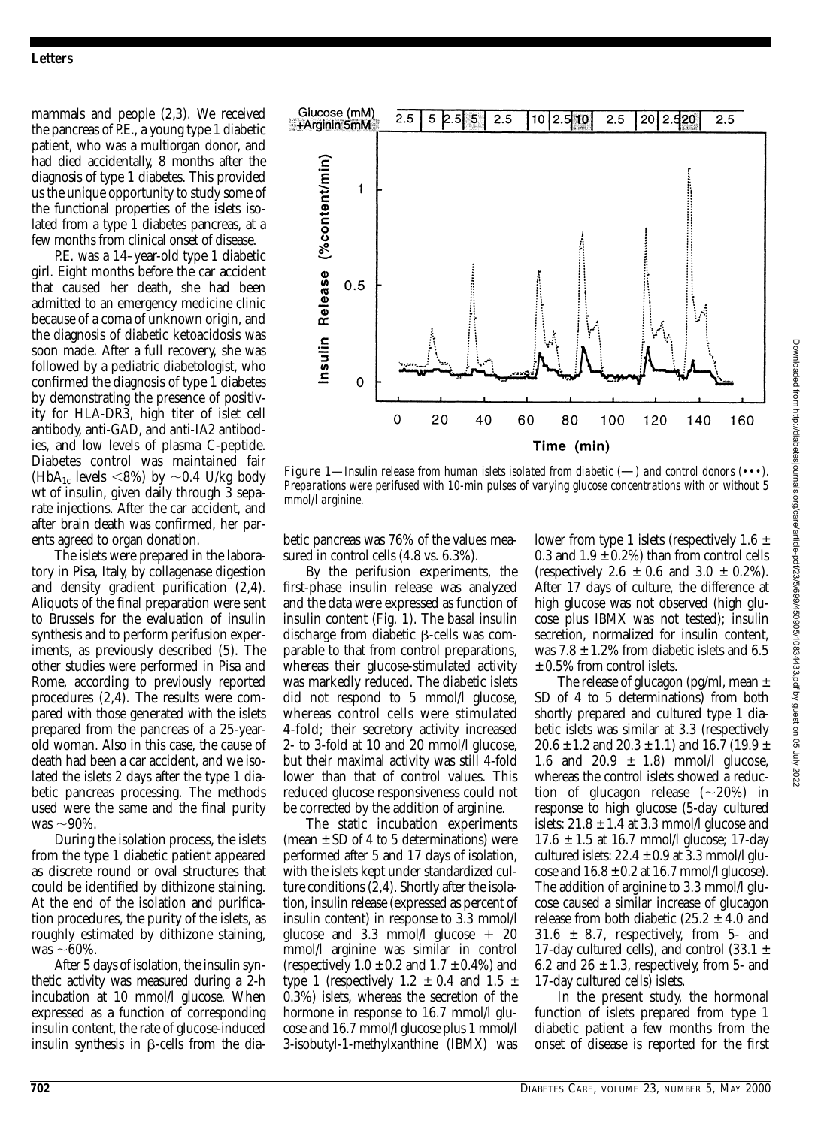### *Letters*

mammals and people (2,3). We received the pancreas of P.E., a young type 1 diabetic patient, who was a multiorgan donor, and had died accidentally, 8 months after the diagnosis of type 1 diabetes. This provided us the unique opportunity to study some of the functional properties of the islets isolated from a type 1 diabetes pancreas, at a few months from clinical onset of disease.

P.E. was a 14–year-old type 1 diabetic girl. Eight months before the car accident that caused her death, she had been admitted to an emergency medicine clinic because of a coma of unknown origin, and the diagnosis of diabetic ketoacidosis was soon made. After a full recovery, she was followed by a pediatric diabetologist, who confirmed the diagnosis of type 1 diabetes by demonstrating the presence of positivity for HLA-DR3, high titer of islet cell antibody, anti-GAD, and anti-IA2 antibodies, and low levels of plasma C-peptide. Diabetes control was maintained fair (HbA<sub>1c</sub> levels <8%) by  $\sim$ 0.4 U/kg body wt of insulin, given daily through 3 separate injections. After the car accident, and after brain death was confirmed, her parents agreed to organ donation.

The islets were prepared in the laboratory in Pisa, Italy, by collagenase digestion and density gradient purification (2,4). Aliquots of the final preparation were sent to Brussels for the evaluation of insulin synthesis and to perform perifusion experiments, as previously described (5). The other studies were performed in Pisa and Rome, according to previously reported procedures (2,4). The results were compared with those generated with the islets prepared from the pancreas of a 25-yearold woman. Also in this case, the cause of death had been a car accident, and we isolated the islets 2 days after the type 1 diabetic pancreas processing. The methods used were the same and the final purity was  $\sim$ 90%.

During the isolation process, the islets from the type 1 diabetic patient appeared as discrete round or oval structures that could be identified by dithizone staining. At the end of the isolation and purification procedures, the purity of the islets, as roughly estimated by dithizone staining, was  $\sim$ 60%.

After 5 days of isolation, the insulin synthetic activity was measured during a 2-h incubation at 10 mmol/l glucose. When expressed as a function of corresponding insulin content, the rate of glucose-induced insulin synthesis in  $\beta$ -cells from the dia-



Figure 1—*Insulin release from human islets isolated from diabetic (*—*) and control donors (•••). Preparations were perifused with 10-min pulses of varying glucose concentrations with or without 5 mmol/l arginine.*

betic pancreas was 76% of the values measured in control cells (4.8 vs. 6.3%).

By the perifusion experiments, the first-phase insulin release was analyzed and the data were expressed as function of insulin content (Fig. 1). The basal insulin discharge from diabetic ß-cells was comparable to that from control preparations, whereas their glucose-stimulated activity was markedly reduced. The diabetic islets did not respond to 5 mmol/l glucose, whereas control cells were stimulated 4-fold; their secretory activity increased 2- to 3-fold at 10 and 20 mmol/l glucose, but their maximal activity was still 4-fold lower than that of control values. This reduced glucose responsiveness could not be corrected by the addition of arginine.

The static incubation experiments (mean  $\pm$  SD of 4 to 5 determinations) were performed after 5 and 17 days of isolation, with the islets kept under standardized culture conditions (2,4). Shortly after the isolation, insulin release (expressed as percent of insulin content) in response to 3.3 mmol/l glucose and 3.3 mmol/l glucose  $+20$ mmol/l arginine was similar in control (respectively  $1.0 \pm 0.2$  and  $1.7 \pm 0.4$ %) and type 1 (respectively  $1.2 \pm 0.4$  and  $1.5 \pm 1.5$ 0.3%) islets, whereas the secretion of the hormone in response to 16.7 mmol/l glucose and 16.7 mmol/l glucose plus 1 mmol/l 3-isobutyl-1-methylxanthine (IBMX) was

lower from type 1 islets (respectively  $1.6 \pm$ 0.3 and  $1.9 \pm 0.2\%$ ) than from control cells (respectively  $2.6 \pm 0.6$  and  $3.0 \pm 0.2\%$ ). After 17 days of culture, the difference at high glucose was not observed (high glucose plus IBMX was not tested); insulin secretion, normalized for insulin content, was  $7.8 \pm 1.2\%$  from diabetic islets and 6.5  $\pm$  0.5% from control islets.

The release of glucagon (pg/ml, mean  $\pm$ SD of 4 to 5 determinations) from both shortly prepared and cultured type 1 diabetic islets was similar at 3.3 (respectively  $20.6 \pm 1.2$  and  $20.3 \pm 1.1$ ) and  $16.7$  (19.9  $\pm$ 1.6 and 20.9  $\pm$  1.8) mmol/l glucose, whereas the control islets showed a reduction of glucagon release  $(\sim 20\%)$  in response to high glucose (5-day cultured islets:  $21.8 \pm 1.4$  at 3.3 mmol/l glucose and  $17.6 \pm 1.5$  at 16.7 mmol/l glucose; 17-day cultured islets:  $22.4 \pm 0.9$  at 3.3 mmol/l glucose and  $16.8 \pm 0.2$  at 16.7 mmol/l glucose). The addition of arginine to 3.3 mmol/l glucose caused a similar increase of glucagon release from both diabetic  $(25.2 \pm 4.0 \text{ and}$  $31.6 \pm 8.7$ , respectively, from 5- and 17-day cultured cells), and control  $(33.1 \pm$ 6.2 and  $26 \pm 1.3$ , respectively, from 5- and 17-day cultured cells) islets.

In the present study, the hormonal function of islets prepared from type 1 diabetic patient a few months from the onset of disease is reported for the first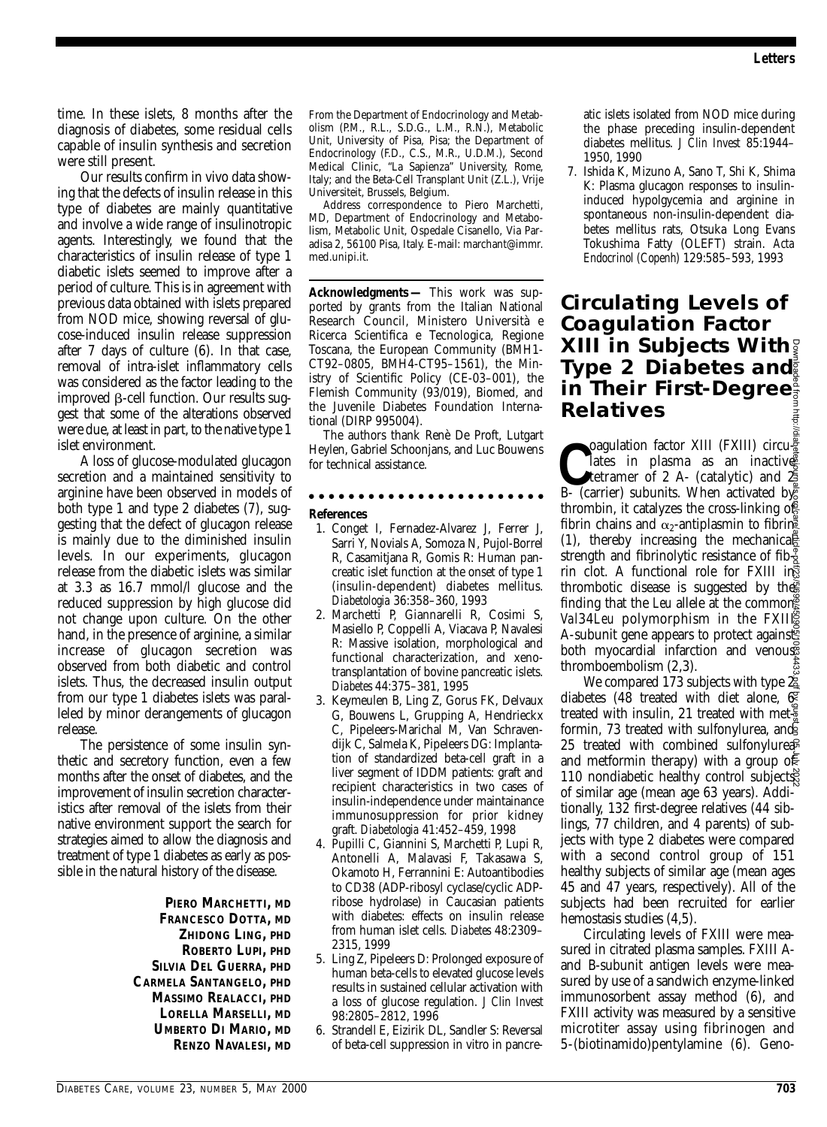time. In these islets, 8 months after the diagnosis of diabetes, some residual cells capable of insulin synthesis and secretion were still present.

Our results confirm in vivo data showing that the defects of insulin release in this type of diabetes are mainly quantitative and involve a wide range of insulinotropic agents. Interestingly, we found that the characteristics of insulin release of type 1 diabetic islets seemed to improve after a period of culture. This is in agreement with previous data obtained with islets prepared from NOD mice, showing reversal of glucose-induced insulin release suppression after 7 days of culture (6). In that case, removal of intra-islet inflammatory cells was considered as the factor leading to the improved  $\beta$ -cell function. Our results suggest that some of the alterations observed were due, at least in part, to the native type 1 islet environment.

A loss of glucose-modulated glucagon secretion and a maintained sensitivity to arginine have been observed in models of both type 1 and type 2 diabetes (7), suggesting that the defect of glucagon release is mainly due to the diminished insulin levels. In our experiments, glucagon release from the diabetic islets was similar at 3.3 as 16.7 mmol/l glucose and the reduced suppression by high glucose did not change upon culture. On the other hand, in the presence of arginine, a similar increase of glucagon secretion was observed from both diabetic and control islets. Thus, the decreased insulin output from our type 1 diabetes islets was paralleled by minor derangements of glucagon release.

The persistence of some insulin synthetic and secretory function, even a few months after the onset of diabetes, and the improvement of insulin secretion characteristics after removal of the islets from their native environment support the search for strategies aimed to allow the diagnosis and treatment of type 1 diabetes as early as possible in the natural history of the disease.

> **PIERO MARCHETTI, MD FRANCESCO DOTTA, MD ZHIDONG LING, PHD ROBERTO LUPI, PHD SILVIA DEL GUERRA, PHD CARMELA SANTANGELO, PHD MASSIMO REALACCI, PHD LORELLA MARSELLI, MD UMBERTO DI MARIO, MD RENZO NAVALESI, MD**

From the Department of Endocrinology and Metabolism (P.M., R.L., S.D.G., L.M., R.N.), Metabolic Unit, University of Pisa, Pisa; the Department of Endocrinology (F.D., C.S., M.R., U.D.M.), Second Medical Clinic, "La Sapienza" University, Rome, Italy; and the Beta-Cell Transplant Unit (Z.L.), Vrije Universiteit, Brussels, Belgium.

Address correspondence to Piero Marchetti, MD, Department of Endocrinology and Metabolism, Metabolic Unit, Ospedale Cisanello, Via Paradisa 2, 56100 Pisa, Italy. E-mail: marchant@immr. med.unipi.it.

**Acknowledgments —** This work was supported by grants from the Italian National Research Council, Ministero Università e Ricerca Scientifica e Tecnologica, Regione Toscana, the European Community (BMH1- CT92–0805, BMH4-CT95–1561), the Ministry of Scientific Policy (CE-03–001), the Flemish Community (93/019), Biomed, and the Juvenile Diabetes Foundation International (DIRP 995004).

The authors thank Renè De Proft, Lutgart Heylen, Gabriel Schoonjans, and Luc Bouwens for technical assistance.

### . . . . . . . . . . . .

**References**

- 1. Conget I, Fernadez-Alvarez J, Ferrer J, Sarri Y, Novials A, Somoza N, Pujol-Borrel R, Casamitjana R, Gomis R: Human pancreatic islet function at the onset of type 1 (insulin-dependent) diabetes mellitus. *Diabetologia* 36:358–360, 1993
- 2. Marchetti P, Giannarelli R, Cosimi S, Masiello P, Coppelli A, Viacava P, Navalesi R: Massive isolation, morphological and functional characterization, and xenotransplantation of bovine pancreatic islets. *Diabetes* 44:375–381, 1995
- 3. Keymeulen B, Ling Z, Gorus FK, Delvaux G, Bouwens L, Grupping A, Hendrieckx C, Pipeleers-Marichal M, Van Schravendijk C, Salmela K, Pipeleers DG: Implantation of standardized beta-cell graft in a liver segment of IDDM patients: graft and recipient characteristics in two cases of insulin-independence under maintainance immunosuppression for prior kidney graft. *Diabetologia* 41:452–459, 1998
- 4. Pupilli C, Giannini S, Marchetti P, Lupi R, Antonelli A, Malavasi F, Takasawa S, Okamoto H, Ferrannini E: Autoantibodies to CD38 (ADP-ribosyl cyclase/cyclic ADPribose hydrolase) in Caucasian patients with diabetes: effects on insulin release from human islet cells. *Diabetes* 48:2309– 2315, 1999
- 5. Ling Z, Pipeleers D: Prolonged exposure of human beta-cells to elevated glucose levels results in sustained cellular activation with a loss of glucose regulation. *J Clin Invest* 98:2805–2812, 1996
- 6. Strandell E, Eizirik DL, Sandler S: Reversal of beta-cell suppression in vitro in pancre-

atic islets isolated from NOD mice during the phase preceding insulin-dependent diabetes mellitus. *J Clin Invest* 85:1944– 1950, 1990

7. Ishida K, Mizuno A, Sano T, Shi K, Shima K: Plasma glucagon responses to insulininduced hypolgycemia and arginine in spontaneous non-insulin-dependent diabetes mellitus rats, Otsuka Long Evans Tokushima Fatty (OLEFT) strain. *Acta Endocrinol (Copenh)* 129:585–593, 1993

### **Circulating Levels of Coagulation Factor XIII in Subjects With Type 2 Diabetes and in Their First-Degree Relatives**

**C**Coagulation factor XIII (FXIII) circu-<br>
lates in plasma as an inactive<br>
B- (carrier) subunits. When activated by oagulation factor XIII (FXIII) circu $\frac{2}{9}$ lates in plasma as an inactives tetramer of 2 A- (catalytic) and  $\mathfrak F$ thrombin, it catalyzes the cross-linking of fibrin chains and  $\alpha_2$ -antiplasmin to fibring (1), thereby increasing the mechanical strength and fibrinolytic resistance of fib $\frac{9}{2}$ rin clot. A functional role for FXIII in thrombotic disease is suggested by the finding that the *Leu* allele at the common *Val*34*Leu* polymorphism in the FXII A-subunit gene appears to protect againsts both myocardial infarction and venous thromboembolism (2,3).

We compared 173 subjects with type 2 diabetes (48 treated with diet alone, 6 treated with insulin, 21 treated with met- $\frac{5}{8}$ formin, 73 treated with sulfonylurea, and 25 treated with combined sulfonylurea and metformin therapy) with a group of 110 nondiabetic healthy control subjects of similar age (mean age 63 years). Additionally, 132 first-degree relatives (44 siblings, 77 children, and 4 parents) of subjects with type 2 diabetes were compared with a second control group of 151 healthy subjects of similar age (mean ages 45 and 47 years, respectively). All of the subjects had been recruited for earlier hemostasis studies (4,5). **XIII in Subjects With**<br> **Sigman Their First-Degree**<br> **Relatives**<br> **Relatives**<br> **Consignation factor XIII (FXIII) circula figure<br>** *Letrane of 2* **A. (catalytic) and**  $\frac{4\pi}{2}$ **<br>** *Letraine in plasma as an inactive***<br>** *B***-(ca** 

Circulating levels of FXIII were measured in citrated plasma samples. FXIII Aand B-subunit antigen levels were measured by use of a sandwich enzyme-linked immunosorbent assay method (6), and FXIII activity was measured by a sensitive microtiter assay using fibrinogen and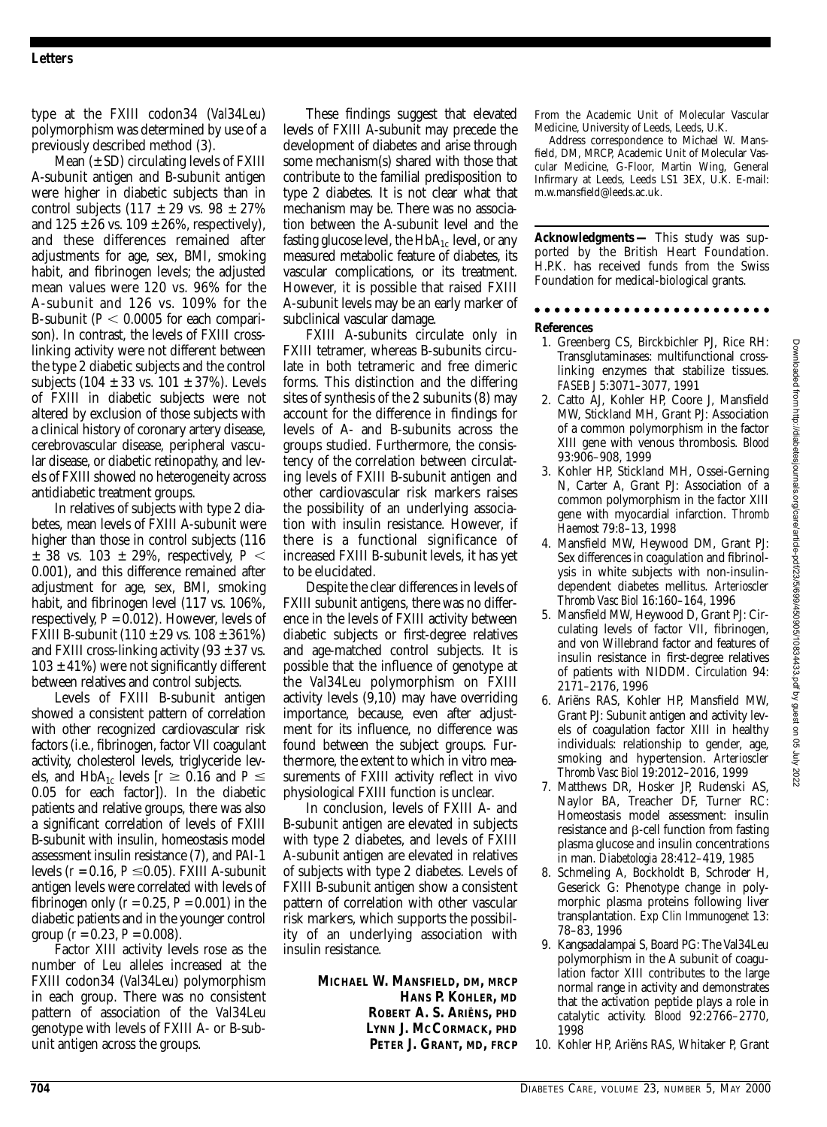type at the FXIII codon34 (*Val*34*Leu*) polymorphism was determined by use of a previously described method (3).

Mean  $(\pm SD)$  circulating levels of FXIII A-subunit antigen and B-subunit antigen were higher in diabetic subjects than in control subjects  $(117 \pm 29 \text{ vs. } 98 \pm 27\%)$ and  $125 \pm 26$  vs.  $109 \pm 26$ %, respectively). and these differences remained after adjustments for age, sex, BMI, smoking habit, and fibrinogen levels; the adjusted mean values were 120 vs. 96% for the A-subunit and 126 vs. 109% for the B-subunit ( $P < 0.0005$  for each comparison). In contrast, the levels of FXIII crosslinking activity were not different between the type 2 diabetic subjects and the control subjects (104  $\pm$  33 vs. 101  $\pm$  37%). Levels of FXIII in diabetic subjects were not altered by exclusion of those subjects with a clinical history of coronary artery disease, cerebrovascular disease, peripheral vascular disease, or diabetic retinopathy, and levels of FXIII showed no heterogeneity across antidiabetic treatment groups.

In relatives of subjects with type 2 diabetes, mean levels of FXIII A-subunit were higher than those in control subjects  $(116$  $\pm$  38 vs. 103  $\pm$  29%, respectively,  $P <$ 0.001), and this difference remained after adjustment for age, sex, BMI, smoking habit, and fibrinogen level (117 vs. 106%, respectively,  $P = 0.012$ ). However, levels of FXIII B-subunit  $(110 \pm 29 \text{ vs. } 108 \pm 361\%)$ and FXIII cross-linking activity (93  $\pm$  37 vs.  $103 \pm 41\%$ ) were not significantly different between relatives and control subjects.

Levels of FXIII B-subunit antigen showed a consistent pattern of correlation with other recognized cardiovascular risk factors (i.e., fibrinogen, factor VII coagulant activity, cholesterol levels, triglyceride levels, and HbA<sub>1c</sub> levels  $[r \ge 0.16$  and  $P \le$ 0.05 for each factor]). In the diabetic patients and relative groups, there was also a significant correlation of levels of FXIII B-subunit with insulin, homeostasis model assessment insulin resistance (7), and PAI-1 levels  $(r = 0.16, P \le 0.05)$ . FXIII A-subunit antigen levels were correlated with levels of fibrinogen only  $(r = 0.25, P = 0.001)$  in the diabetic patients and in the younger control group  $(r = 0.23, P = 0.008)$ .

Factor XIII activity levels rose as the number of *Leu* alleles increased at the FXIII codon34 (*Val*34*Leu*) polymorphism in each group. There was no consistent pattern of association of the *Val*34*Leu* genotype with levels of FXIII A- or B-subunit antigen across the groups.

These findings suggest that elevated levels of FXIII A-subunit may precede the development of diabetes and arise through some mechanism(s) shared with those that contribute to the familial predisposition to type 2 diabetes. It is not clear what that mechanism may be. There was no association between the A-subunit level and the fasting glucose level, the  $HbA_{1c}$  level, or any measured metabolic feature of diabetes, its vascular complications, or its treatment. However, it is possible that raised FXIII A-subunit levels may be an early marker of subclinical vascular damage.

FXIII A-subunits circulate only in FXIII tetramer, whereas B-subunits circulate in both tetrameric and free dimeric forms. This distinction and the differing sites of synthesis of the 2 subunits (8) may account for the difference in findings for levels of A- and B-subunits across the groups studied. Furthermore, the consistency of the correlation between circulating levels of FXIII B-subunit antigen and other cardiovascular risk markers raises the possibility of an underlying association with insulin resistance. However, if there is a functional significance of increased FXIII B-subunit levels, it has yet to be elucidated.

Despite the clear differences in levels of FXIII subunit antigens, there was no difference in the levels of FXIII activity between diabetic subjects or first-degree relatives and age-matched control subjects. It is possible that the influence of genotype at the *Val*34*Leu* polymorphism on FXIII activity levels (9,10) may have overriding importance, because, even after adjustment for its influence, no difference was found between the subject groups. Furthermore, the extent to which in vitro measurements of FXIII activity reflect in vivo physiological FXIII function is unclear.

In conclusion, levels of FXIII A- and B-subunit antigen are elevated in subjects with type 2 diabetes, and levels of FXIII A-subunit antigen are elevated in relatives of subjects with type 2 diabetes. Levels of FXIII B-subunit antigen show a consistent pattern of correlation with other vascular risk markers, which supports the possibility of an underlying association with insulin resistance.

> **MICHAEL W. MANSFIELD, DM, MRCP HANS P. KOHLER, MD ROBERT A. S. ARIËNS, PHD LYNN J. MCCORMACK, PHD PETER J. GRANT, MD, FRCP**

From the Academic Unit of Molecular Vascular Medicine, University of Leeds, Leeds, U.K.

Address correspondence to Michael W. Mansfield, DM, MRCP, Academic Unit of Molecular Vascular Medicine, G-Floor, Martin Wing, General Infirmary at Leeds, Leeds LS1 3EX, U.K. E-mail: m.w.mansfield@leeds.ac.uk.

**Acknowledgments —** This study was supported by the British Heart Foundation. H.P.K. has received funds from the Swiss Foundation for medical-biological grants.

#### 

#### **References**

- 1. Greenberg CS, Birckbichler PJ, Rice RH: Transglutaminases: multifunctional crosslinking enzymes that stabilize tissues. *FASEB J* 5:3071–3077, 1991
- 2. Catto AJ, Kohler HP, Coore J, Mansfield MW, Stickland MH, Grant PJ: Association of a common polymorphism in the factor XIII gene with venous thrombosis. *Blood* 93:906–908, 1999
- 3. Kohler HP, Stickland MH, Ossei-Gerning N, Carter A, Grant PJ: Association of a common polymorphism in the factor XIII gene with myocardial infarction. *Thromb Haemost* 79:8–13, 1998
- 4. Mansfield MW, Heywood DM, Grant PJ: Sex differences in coagulation and fibrinolysis in white subjects with non-insulindependent diabetes mellitus. *Arterioscler Thromb Vasc Biol* 16:160–164, 1996
- 5. Mansfield MW, Heywood D, Grant PJ: Circulating levels of factor VII, fibrinogen, and von Willebrand factor and features of insulin resistance in first-degree relatives of patients with NIDDM. *Circulation* 94: 2171–2176, 1996
- 6. Ariëns RAS, Kohler HP, Mansfield MW, Grant PJ: Subunit antigen and activity levels of coagulation factor XIII in healthy individuals: relationship to gender, age, smoking and hypertension. *Arterioscler Thromb Vasc Biol* 19:2012–2016, 1999
- 7. Matthews DR, Hosker JP, Rudenski AS, Naylor BA, Treacher DF, Turner RC: Homeostasis model assessment: insulin  $resistance$  and  $\beta$ -cell function from fasting plasma glucose and insulin concentrations in man. *Diabetologia* 28:412–419, 1985
- 8. Schmeling A, Bockholdt B, Schroder H, Geserick G: Phenotype change in polymorphic plasma proteins following liver transplantation. *Exp Clin Immunogenet* 13: 78–83, 1996
- 9. Kangsadalampai S, Board PG: The Val34Leu polymorphism in the A subunit of coagulation factor XIII contributes to the large normal range in activity and demonstrates that the activation peptide plays a role in catalytic activity. *Blood* 92:2766–2770, 1998
- 10. Kohler HP, Ariëns RAS, Whitaker P, Grant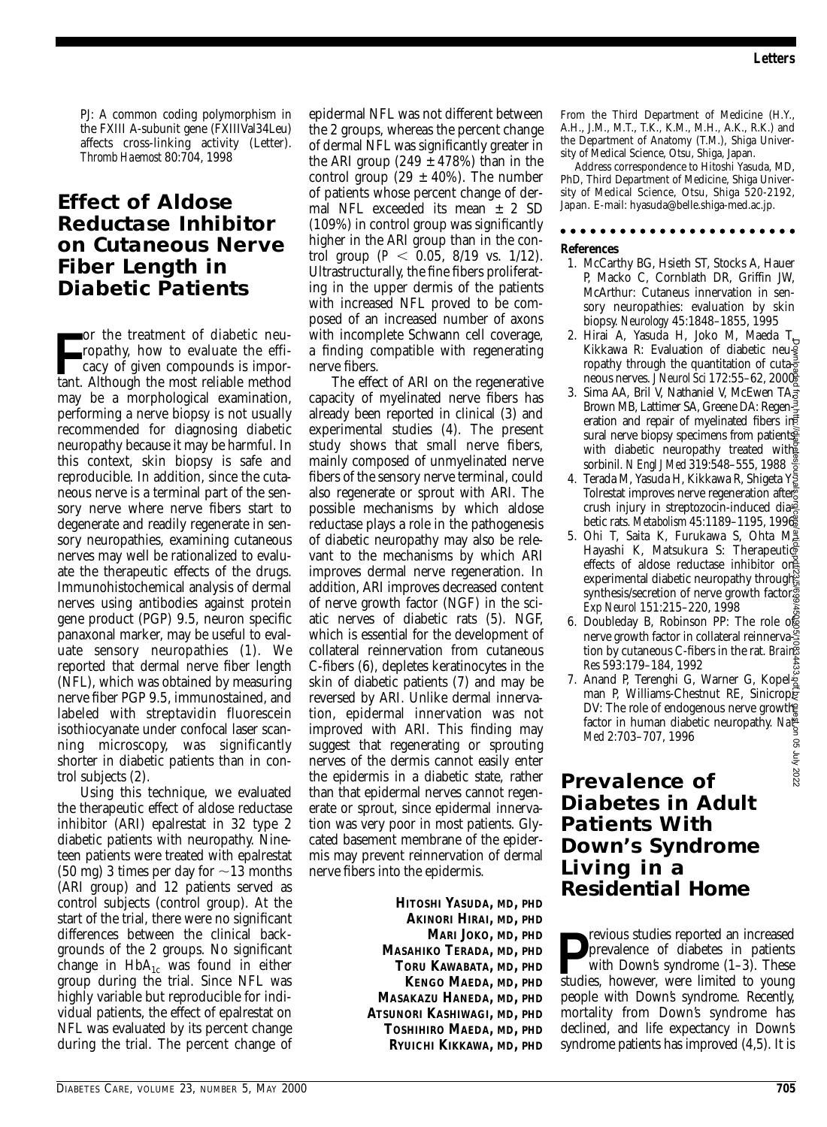PJ: A common coding polymorphism in the FXIII A-subunit gene (FXIIIVal34Leu) affects cross-linking activity (Letter). *Thromb Haemost* 80:704, 1998

### **Effect of Aldose Reductase Inhibitor on Cutaneous Nerve Fiber Length in Diabetic Patients**

For the treatment of diabetic neu-<br>
ropathy, how to evaluate the effi-<br>
cacy of given compounds is impor-<br>
tant. Although the most reliable method or the treatment of diabetic neuropathy, how to evaluate the efficacy of given compounds is impormay be a morphological examination, performing a nerve biopsy is not usually recommended for diagnosing diabetic neuropathy because it may be harmful. In this context, skin biopsy is safe and reproducible. In addition, since the cutaneous nerve is a terminal part of the sensory nerve where nerve fibers start to degenerate and readily regenerate in sensory neuropathies, examining cutaneous nerves may well be rationalized to evaluate the therapeutic effects of the drugs. Immunohistochemical analysis of dermal nerves using antibodies against protein gene product (PGP) 9.5, neuron specific panaxonal marker, may be useful to evaluate sensory neuropathies (1). We reported that dermal nerve fiber length (NFL), which was obtained by measuring nerve fiber PGP 9.5, immunostained, and labeled with streptavidin fluorescein isothiocyanate under confocal laser scanning microscopy, was significantly shorter in diabetic patients than in control subjects (2).

Using this technique, we evaluated the therapeutic effect of aldose reductase inhibitor (ARI) epalrestat in 32 type 2 diabetic patients with neuropathy. Nineteen patients were treated with epalrestat  $(50 \text{ mg})$  3 times per day for  $\sim$  13 months (ARI group) and 12 patients served as control subjects (control group). At the start of the trial, there were no significant differences between the clinical backgrounds of the 2 groups. No significant change in  $HbA_{1c}$  was found in either group during the trial. Since NFL was highly variable but reproducible for individual patients, the effect of epalrestat on NFL was evaluated by its percent change during the trial. The percent change of epidermal NFL was not different between the 2 groups, whereas the percent change of dermal NFL was significantly greater in the ARI group (249  $\pm$  478%) than in the control group (29  $\pm$  40%). The number of patients whose percent change of dermal NFL exceeded its mean ± 2 SD (109%) in control group was significantly higher in the ARI group than in the control group ( $P < 0.05$ ,  $8/19$  vs.  $1/12$ ). Ultrastructurally, the fine fibers proliferating in the upper dermis of the patients with increased NFL proved to be composed of an increased number of axons with incomplete Schwann cell coverage, a finding compatible with regenerating nerve fibers.

The effect of ARI on the regenerative capacity of myelinated nerve fibers has already been reported in clinical (3) and experimental studies (4). The present study shows that small nerve fibers, mainly composed of unmyelinated nerve fibers of the sensory nerve terminal, could also regenerate or sprout with ARI. The possible mechanisms by which aldose reductase plays a role in the pathogenesis of diabetic neuropathy may also be relevant to the mechanisms by which ARI improves dermal nerve regeneration. In addition, ARI improves decreased content of nerve growth factor (NGF) in the sciatic nerves of diabetic rats (5). NGF, which is essential for the development of collateral reinnervation from cutaneous C-fibers (6), depletes keratinocytes in the skin of diabetic patients (7) and may be reversed by ARI. Unlike dermal innervation, epidermal innervation was not improved with ARI. This finding may suggest that regenerating or sprouting nerves of the dermis cannot easily enter the epidermis in a diabetic state, rather than that epidermal nerves cannot regenerate or sprout, since epidermal innervation was very poor in most patients. Glycated basement membrane of the epidermis may prevent reinnervation of dermal nerve fibers into the epidermis.

> **HITOSHI YASUDA, MD, PHD AKINORI HIRAI, MD, PHD MARI JOKO, MD, PHD MASAHIKO TERADA, MD, PHD TORU KAWABATA, MD, PHD KENGO MAEDA, MD, PHD MASAKAZU HANEDA, MD, PHD ATSUNORI KASHIWAGI, MD, PHD TOSHIHIRO MAEDA, MD, PHD RYUICHI KIKKAWA, MD, PHD**

From the Third Department of Medicine (H.Y., A.H., J.M., M.T., T.K., K.M., M.H., A.K., R.K.) and the Department of Anatomy (T.M.), Shiga University of Medical Science, Otsu, Shiga, Japan.

Address correspondence to Hitoshi Yasuda, MD, PhD, Third Department of Medicine, Shiga University of Medical Science, Otsu, Shiga 520-2192, Japan. E-mail: hyasuda@belle.shiga-med.ac.jp.

#### . . . . . . . . . . . . . . . . . .

#### **References**

- 1. McCarthy BG, Hsieth ST, Stocks A, Hauer P, Macko C, Cornblath DR, Griffin JW, McArthur: Cutaneus innervation in sensory neuropathies: evaluation by skin biopsy. *Neurology* 45:1848–1855, 1995
- 2. Hirai A, Yasuda H, Joko M, Maeda T, Kikkawa R: Evaluation of diabetic neuropathy through the quantitation of cuta $\frac{1}{8}$ neous nerves. *J Neurol Sci* 172:55–62, 2000
- 3. Sima AA, Bril V, Nathaniel V, McEwen TA<sub>3</sub> Brown MB, Lattimer SA, Greene DA: Regeneration and repair of myelinated fibers in sural nerve biopsy specimens from patients with diabetic neuropathy treated with sorbinil. *N Engl J Med* 319:548–555, 1988
- 4. Terada M, Yasuda H, Kikkawa R, Shigeta Y Tolrestat improves nerve regeneration after crush injury in streptozocin-induced dia $\frac{3}{2}$ betic rats. *Metabolism* 45:1189–1195, 1996
- 5. Ohi T, Saita K, Furukawa S, Ohta M $\frac{3}{2}$ Hayashi K, Matsukura S: Therapeutic effects of aldose reductase inhibitor on experimental diabetic neuropathy through synthesis/secretion of nerve growth factor. *Exp Neurol* 151:215–220, 1998
- 6. Doubleday B, Robinson PP: The role of nerve growth factor in collateral reinnervation by cutaneous C-fibers in the rat. *Brain Res* 593:179–184, 1992
- 7. Anand P, Terenghi G, Warner G, Kopelman P, Williams-Chestnut RE, Sinicropie DV: The role of endogenous nerve growthen factor in human diabetic neuropathy. *Nat Med* 2:703–707, 1996

### **Prevalence of Diabetes in Adult Patients With Down's Syndrome Living in a Residential Home**

**P** revious studies reported an increased<br>
prevalence of diabetes in patients<br>
with Down's syndrome (1–3). These<br>
studies however were limited to young prevalence of diabetes in patients with Down's syndrome (1–3). These studies, however, were limited to young people with Down's syndrome. Recently, mortality from Down's syndrome has declined, and life expectancy in Down's Kikkawa R: Evaluation of diabetic neurgrouthy trough the quantitation of cutago neous nerves. *I* Neurol Sci (Tene DA: Regen= DA: Regen= DA: Regen= DA: Regen= DA: Regen= Data neuro patients AG, Green= DA: Regen= Data in t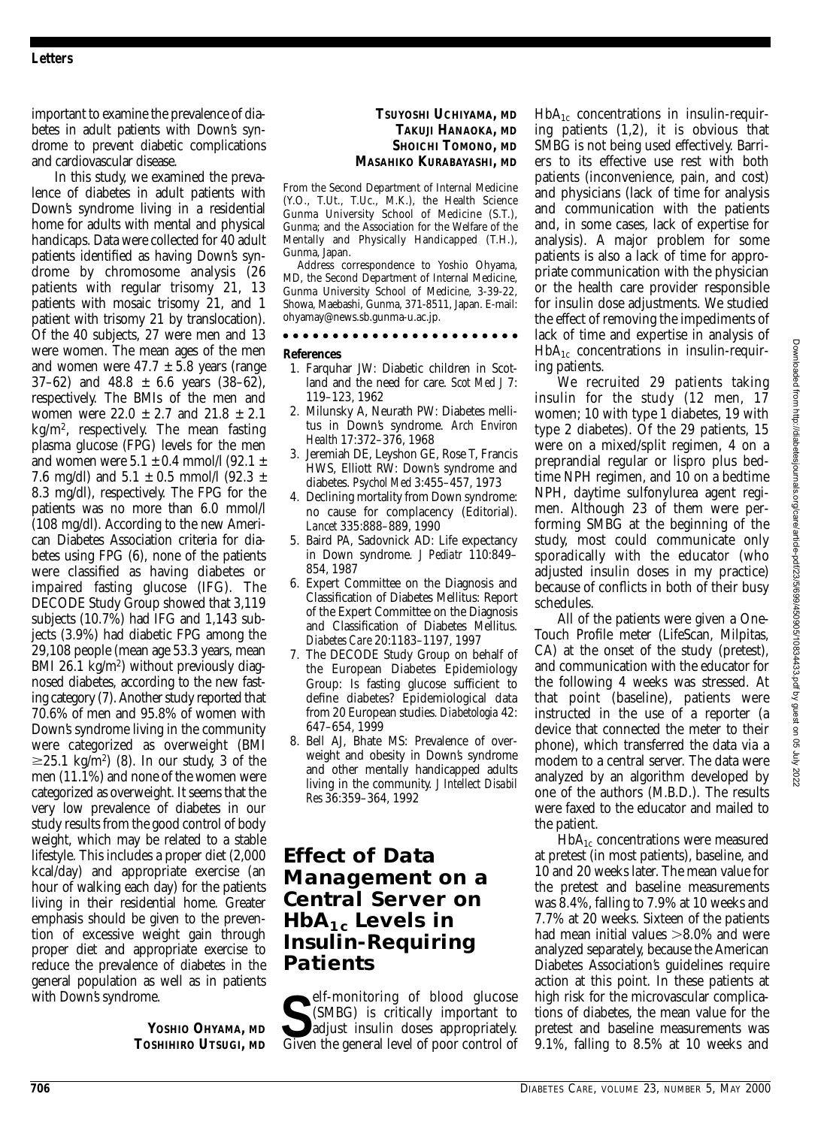important to examine the prevalence of diabetes in adult patients with Down's syndrome to prevent diabetic complications and cardiovascular disease.

In this study, we examined the prevalence of diabetes in adult patients with Down's syndrome living in a residential home for adults with mental and physical handicaps. Data were collected for 40 adult patients identified as having Down's syndrome by chromosome analysis (26 patients with regular trisomy 21, 13 patients with mosaic trisomy 21, and 1 patient with trisomy 21 by translocation). Of the 40 subjects, 27 were men and 13 were women. The mean ages of the men and women were  $47.7 \pm 5.8$  years (range  $37–62$ ) and  $48.8 \pm 6.6$  years  $(38–62)$ , respectively. The BMIs of the men and women were  $22.0 \pm 2.7$  and  $21.8 \pm 2.1$ kg/m2, respectively. The mean fasting plasma glucose (FPG) levels for the men and women were  $5.1 \pm 0.4$  mmol/l  $(92.1 \pm 1)$ 7.6 mg/dl) and  $5.1 \pm 0.5$  mmol/l (92.3  $\pm$ 8.3 mg/dl), respectively. The FPG for the patients was no more than 6.0 mmol/l (108 mg/dl). According to the new American Diabetes Association criteria for diabetes using FPG (6), none of the patients were classified as having diabetes or impaired fasting glucose (IFG). The DECODE Study Group showed that 3,119 subjects (10.7%) had IFG and 1,143 subjects (3.9%) had diabetic FPG among the 29,108 people (mean age 53.3 years, mean BMI 26.1 kg/m<sup>2</sup>) without previously diagnosed diabetes, according to the new fasting category (7). Another study reported that 70.6% of men and 95.8% of women with Down's syndrome living in the community were categorized as overweight (BMI  $\geq$ 25.1 kg/m<sup>2</sup>) (8). In our study, 3 of the men (11.1%) and none of the women were categorized as overweight. It seems that the very low prevalence of diabetes in our study results from the good control of body weight, which may be related to a stable lifestyle. This includes a proper diet (2,000 kcal/day) and appropriate exercise (an hour of walking each day) for the patients living in their residential home. Greater emphasis should be given to the prevention of excessive weight gain through proper diet and appropriate exercise to reduce the prevalence of diabetes in the general population as well as in patients with Down's syndrome.

> **YOSHIO OHYAMA, MD TOSHIHIRO UTSUGI, MD**

### **TSUYOSHI UCHIYAMA, MD TAKUJI HANAOKA, MD SHOICHI TOMONO, MD MASAHIKO KURABAYASHI, MD**

From the Second Department of Internal Medicine (Y.O., T.Ut., T.Uc., M.K.), the Health Science Gunma University School of Medicine (S.T.), Gunma; and the Association for the Welfare of the Mentally and Physically Handicapped (T.H.), Gunma, Japan.

Address correspondence to Yoshio Ohyama, MD, the Second Department of Internal Medicine, Gunma University School of Medicine, 3-39-22, Showa, Maebashi, Gunma, 371-8511, Japan. E-mail: ohyamay@news.sb.gunma-u.ac.jp.

#### **References**

- 1. Farquhar JW: Diabetic children in Scotland and the need for care. *Scot Med J* 7: 119–123, 1962
- 2. Milunsky A, Neurath PW: Diabetes mellitus in Down's syndrome. *Arch Environ Health* 17:372–376, 1968
- 3. Jeremiah DE, Leyshon GE, Rose T, Francis HWS, Elliott RW: Down's syndrome and diabetes. *Psychol Med* 3:455–457, 1973
- 4. Declining mortality from Down syndrome: no cause for complacency (Editorial). *Lancet* 335:888–889, 1990
- 5. Baird PA, Sadovnick AD: Life expectancy in Down syndrome. *J Pediatr* 110:849– 854, 1987
- 6. Expert Committee on the Diagnosis and Classification of Diabetes Mellitus: Report of the Expert Committee on the Diagnosis and Classification of Diabetes Mellitus. *Diabetes Care* 20:1183–1197, 1997
- 7. The DECODE Study Group on behalf of the European Diabetes Epidemiology Group: Is fasting glucose sufficient to define diabetes? Epidemiological data from 20 European studies. *Diabetologia* 42: 647–654, 1999
- 8. Bell AJ, Bhate MS: Prevalence of overweight and obesity in Down's syndrome and other mentally handicapped adults living in the community. *J Intellect Disabil Res* 36:359–364, 1992

### **Effect of Data Management on a Central Server on HbA1c Levels in Insulin-Requiring Patients**

**S** (SMBG) is critically important to adjust insulin doses appropriately.<br>
Given the general level of poor control of (SMBG) is critically important to adjust insulin doses appropriately. Given the general level of poor control of  $HbA_{1c}$  concentrations in insulin-requiring patients (1,2), it is obvious that SMBG is not being used effectively. Barriers to its effective use rest with both patients (inconvenience, pain, and cost) and physicians (lack of time for analysis and communication with the patients and, in some cases, lack of expertise for analysis). A major problem for some patients is also a lack of time for appropriate communication with the physician or the health care provider responsible for insulin dose adjustments. We studied the effect of removing the impediments of lack of time and expertise in analysis of  $HbA_{1c}$  concentrations in insulin-requiring patients.

We recruited 29 patients taking insulin for the study (12 men, 17 women; 10 with type 1 diabetes, 19 with type 2 diabetes). Of the 29 patients, 15 were on a mixed/split regimen, 4 on a preprandial regular or lispro plus bedtime NPH regimen, and 10 on a bedtime NPH, daytime sulfonylurea agent regimen. Although 23 of them were performing SMBG at the beginning of the study, most could communicate only sporadically with the educator (who adjusted insulin doses in my practice) because of conflicts in both of their busy schedules.

All of the patients were given a One-Touch Profile meter (LifeScan, Milpitas, CA) at the onset of the study (pretest), and communication with the educator for the following 4 weeks was stressed. At that point (baseline), patients were instructed in the use of a reporter (a device that connected the meter to their phone), which transferred the data via a modem to a central server. The data were analyzed by an algorithm developed by one of the authors (M.B.D.). The results were faxed to the educator and mailed to the patient.

 $HbA_{1c}$  concentrations were measured at pretest (in most patients), baseline, and 10 and 20 weeks later. The mean value for the pretest and baseline measurements was 8.4%, falling to 7.9% at 10 weeks and 7.7% at 20 weeks. Sixteen of the patients had mean initial values  $>8.0\%$  and were analyzed separately, because the American Diabetes Association's guidelines require action at this point. In these patients at high risk for the microvascular complications of diabetes, the mean value for the pretest and baseline measurements was 9.1%, falling to 8.5% at 10 weeks and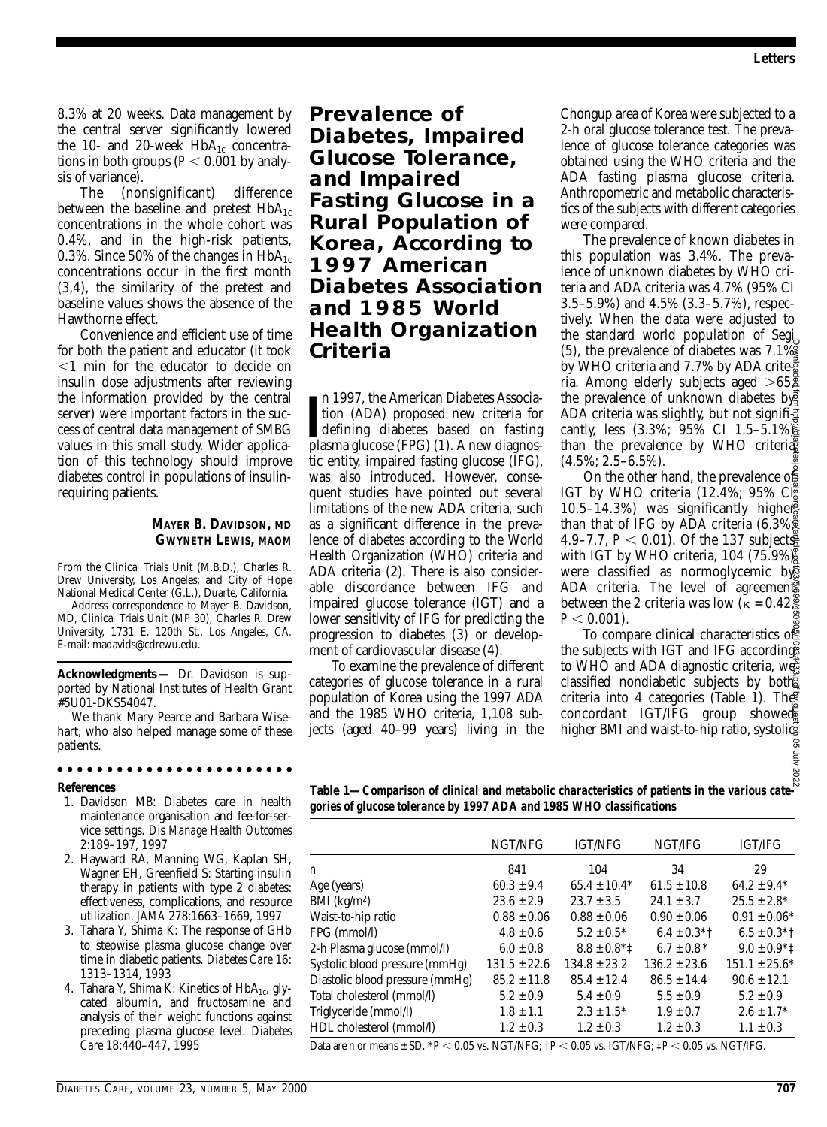8.3% at 20 weeks. Data management by the central server significantly lowered the 10- and 20-week  $HbA_{1c}$  concentrations in both groups ( $P < 0.001$  by analysis of variance).

The (nonsignificant) difference between the baseline and pretest  $HbA_{1c}$ concentrations in the whole cohort was 0.4%, and in the high-risk patients, 0.3%. Since 50% of the changes in  $HbA_{1c}$ concentrations occur in the first month (3,4), the similarity of the pretest and baseline values shows the absence of the Hawthorne effect.

Convenience and efficient use of time for both the patient and educator (it took -1 min for the educator to decide on insulin dose adjustments after reviewing the information provided by the central server) were important factors in the success of central data management of SMBG values in this small study. Wider application of this technology should improve diabetes control in populations of insulinrequiring patients.

#### **MAYER B. DAVIDSON, MD GWYNETH LEWIS, MAOM**

From the Clinical Trials Unit (M.B.D.), Charles R. Drew University, Los Angeles; and City of Hope National Medical Center (G.L.), Duarte, California.

Address correspondence to Mayer B. Davidson, MD, Clinical Trials Unit (MP 30), Charles R. Drew University, 1731 E. 120th St., Los Angeles, CA. E-mail: madavids@cdrewu.edu.

**Acknowledgments —** Dr. Davidson is supported by National Institutes of Health Grant #5U01-DKS54047.

We thank Mary Pearce and Barbara Wisehart, who also helped manage some of these patients.

### 

#### **References**

- 1. Davidson MB: Diabetes care in health maintenance organisation and fee-for-service settings. *Dis Manage Health Outcomes* 2:189–197, 1997
- 2. Hayward RA, Manning WG, Kaplan SH, Wagner EH, Greenfield S: Starting insulin therapy in patients with type 2 diabetes: effectiveness, complications, and resource utilization. *JAMA* 278:1663–1669, 1997
- 3. Tahara Y, Shima K: The response of GHb to stepwise plasma glucose change over time in diabetic patients. *Diabetes Care* 16: 1313–1314, 1993
- 4. Tahara Y, Shima K: Kinetics of HbA<sub>1c</sub>, glycated albumin, and fructosamine and analysis of their weight functions against preceding plasma glucose level. *Diabetes Care* 18:440–447, 1995

**Prevalence of Diabetes, Impaired Glucose Tolerance, and Impaired Fasting Glucose in a Rural Population of Korea, According to 1997 American Diabetes Association and 1985 World Health Organization Criteria**

In 1997, the American Diabetes Association (ADA) proposed new criteria for defining diabetes based on fasting plasma glucose (FPG) (1). A new diagnosn 1997, the American Diabetes Association (ADA) proposed new criteria for plasma glucose (FPG) (1). A new diagnostic entity, impaired fasting glucose (IFG), was also introduced. However, consequent studies have pointed out several limitations of the new ADA criteria, such as a significant difference in the prevalence of diabetes according to the World Health Organization (WHO) criteria and ADA criteria (2). There is also considerable discordance between IFG and impaired glucose tolerance (IGT) and a lower sensitivity of IFG for predicting the progression to diabetes (3) or development of cardiovascular disease (4).

To examine the prevalence of different categories of glucose tolerance in a rural population of Korea using the 1997 ADA and the 1985 WHO criteria, 1,108 subjects (aged 40–99 years) living in the

Chongup area of Korea were subjected to a 2-h oral glucose tolerance test. The prevalence of glucose tolerance categories was obtained using the WHO criteria and the ADA fasting plasma glucose criteria. Anthropometric and metabolic characteristics of the subjects with different categories were compared.

The prevalence of known diabetes in this population was 3.4%. The prevalence of unknown diabetes by WHO criteria and ADA criteria was 4.7% (95% CI 3.5–5.9%) and 4.5% (3.3–5.7%), respectively. When the data were adjusted to the standard world population of Segi (5), the prevalence of diabetes was 7.1% by WHO criteria and 7.7% by ADA criteria. Among elderly subjects aged  $>65,\overline{2}$ the prevalence of unknown diabetes by ADA criteria was slightly, but not signifi $\frac{3}{4}$ cantly, less (3.3%; 95% CI 1.5–5.1%) than the prevalence by WHO criteria (4.5%; 2.5–6.5%).

On the other hand, the prevalence of IGT by WHO criteria  $(12.4\%; 95\% \mathcal{C}^{\mathbb{R}})$ 10.5–14.3%) was significantly higher than that of IFG by ADA criteria  $(6.3\%$ 4.9–7.7,  $P < 0.01$ ). Of the 137 subjects with IGT by WHO criteria,  $104$  (75.9%) $\frac{8}{8}$ were classified as normoglycemic by ADA criteria. The level of agreements between the 2 criteria was low ( $\kappa = 0.42$ )  $P < 0.001$ ). Downloaded from http://diabetesjournals.org/care/article-pdf/23/5/699/450905/10834433.pdf by guest on 05 July 2022

To compare clinical characteristics of the subjects with IGT and IFG according to WHO and ADA diagnostic criteria, we classified nondiabetic subjects by both criteria into 4 categories (Table 1). The concordant IGT/IFG group showed higher BMI and waist-to-hip ratio, systolic

**Table 1—***Comparison of clinical and metabolic characteristics of patients in the various categories of glucose tolerance by 1997 ADA and 1985 WHO classifications*

|                                 | NGT/NFG          | <b>IGT/NFG</b>               | NGT/IFG          | <b>IGT/IFG</b>     |
|---------------------------------|------------------|------------------------------|------------------|--------------------|
| n                               | 841              | 104                          | 34               | 29                 |
| Age (years)                     | $60.3 \pm 9.4$   | $65.4 \pm 10.4*$             | $61.5 \pm 10.8$  | $64.2 \pm 9.4*$    |
| $BMI$ (kg/m <sup>2</sup> )      | $23.6 \pm 2.9$   | $23.7 \pm 3.5$               | $24.1 \pm 3.7$   | $25.5 \pm 2.8^*$   |
| Waist-to-hip ratio              | $0.88 \pm 0.06$  | $0.88 \pm 0.06$              | $0.90 \pm 0.06$  | $0.91 \pm 0.06*$   |
| FPG (mmol/l)                    | $4.8 \pm 0.6$    | $5.2 \pm 0.5^*$              | $6.4 \pm 0.3$ *† | $6.5 \pm 0.3$ *†   |
| 2-h Plasma glucose (mmol/l)     | $6.0 \pm 0.8$    | $8.8 \pm 0.8$ <sup>*</sup> 1 | $6.7 \pm 0.8*$   | $9.0 \pm 0.9$ *1   |
| Systolic blood pressure (mmHg)  | $131.5 \pm 22.6$ | $134.8 \pm 23.2$             | $136.2 \pm 23.6$ | $151.1 \pm 25.6^*$ |
| Diastolic blood pressure (mmHg) | $85.2 \pm 11.8$  | $85.4 \pm 12.4$              | $86.5 \pm 14.4$  | $90.6 \pm 12.1$    |
| Total cholesterol (mmol/l)      | $5.2 \pm 0.9$    | $5.4 \pm 0.9$                | $5.5 \pm 0.9$    | $5.2 \pm 0.9$      |
| Triglyceride (mmol/l)           | $1.8 \pm 1.1$    | $2.3 \pm 1.5^*$              | $1.9 \pm 0.7$    | $2.6 \pm 1.7^*$    |
| HDL cholesterol (mmol/l)        | $1.2 \pm 0.3$    | $1.2 \pm 0.3$                | $1.2 \pm 0.3$    | $1.1 \pm 0.3$      |

Data are *n* or means ± SD. \**P* - 0.05 vs. NGT/NFG; †*P* - 0.05 vs. IGT/NFG; ‡*P* - 0.05 vs. NGT/IFG.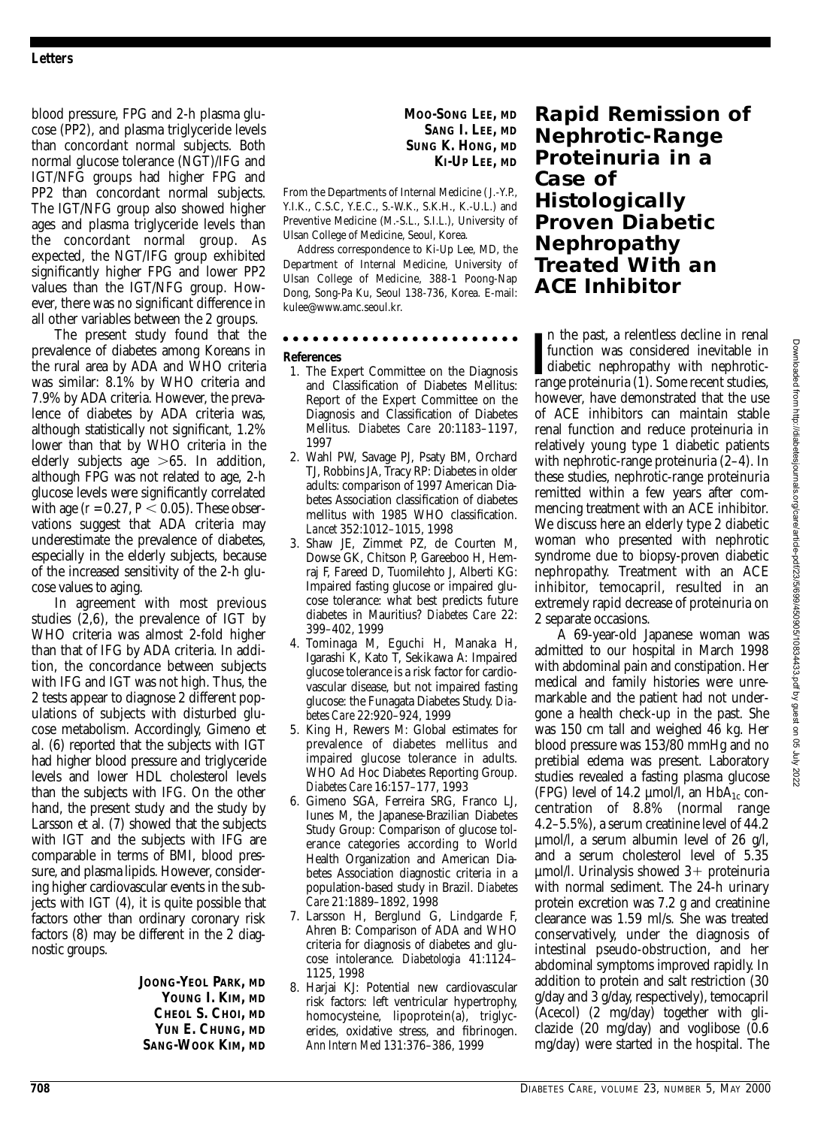blood pressure, FPG and 2-h plasma glucose (PP2), and plasma triglyceride levels than concordant normal subjects. Both normal glucose tolerance (NGT)/IFG and IGT/NFG groups had higher FPG and PP2 than concordant normal subjects. The IGT/NFG group also showed higher ages and plasma triglyceride levels than the concordant normal group. As expected, the NGT/IFG group exhibited significantly higher FPG and lower PP2 values than the IGT/NFG group. However, there was no significant difference in all other variables between the 2 groups.

The present study found that the prevalence of diabetes among Koreans in the rural area by ADA and WHO criteria was similar: 8.1% by WHO criteria and 7.9% by ADA criteria. However, the prevalence of diabetes by ADA criteria was, although statistically not significant, 1.2% lower than that by WHO criteria in the elderly subjects age  $>65$ . In addition, although FPG was not related to age, 2-h glucose levels were significantly correlated with age  $(r = 0.27, P < 0.05)$ . These observations suggest that ADA criteria may underestimate the prevalence of diabetes, especially in the elderly subjects, because of the increased sensitivity of the 2-h glucose values to aging.

In agreement with most previous studies (2,6), the prevalence of IGT by WHO criteria was almost 2-fold higher than that of IFG by ADA criteria. In addition, the concordance between subjects with IFG and IGT was not high. Thus, the 2 tests appear to diagnose 2 different populations of subjects with disturbed glucose metabolism. Accordingly, Gimeno et al. (6) reported that the subjects with IGT had higher blood pressure and triglyceride levels and lower HDL cholesterol levels than the subjects with IFG. On the other hand, the present study and the study by Larsson et al. (7) showed that the subjects with IGT and the subjects with IFG are comparable in terms of BMI, blood pressure, and plasma lipids. However, considering higher cardiovascular events in the subjects with IGT (4), it is quite possible that factors other than ordinary coronary risk factors (8) may be different in the 2 diagnostic groups.

> **JOONG-YEOL PARK, MD YOUNG I. KIM, MD CHEOL S. CHOI, MD YUN E. CHUNG, MD SANG-WOOK KIM, MD**

From the Departments of Internal Medicine ( J.-Y.P., Y.I.K., C.S.C, Y.E.C., S.-W.K., S.K.H., K.-U.L.) and Preventive Medicine (M.-S.L., S.I.L.), University of Ulsan College of Medicine, Seoul, Korea.

Address correspondence to Ki-Up Lee, MD, the Department of Internal Medicine, University of Ulsan College of Medicine, 388-1 Poong-Nap Dong, Song-Pa Ku, Seoul 138-736, Korea. E-mail: kulee@www.amc.seoul.kr.

#### . . . . . . . . . . . . .

### **References**

- 1. The Expert Committee on the Diagnosis and Classification of Diabetes Mellitus: Report of the Expert Committee on the Diagnosis and Classification of Diabetes Mellitus. *Diabetes Care* 20:1183–1197, 1997
- 2. Wahl PW, Savage PJ, Psaty BM, Orchard TJ, Robbins JA, Tracy RP: Diabetes in older adults: comparison of 1997 American Diabetes Association classification of diabetes mellitus with 1985 WHO classification. *Lancet* 352:1012–1015, 1998
- 3. Shaw JE, Zimmet PZ, de Courten M, Dowse GK, Chitson P, Gareeboo H, Hemraj F, Fareed D, Tuomilehto J, Alberti KG: Impaired fasting glucose or impaired glucose tolerance: what best predicts future diabetes in Mauritius? *Diabetes Care* 22: 399–402, 1999
- 4. Tominaga M, Eguchi H, Manaka H, Igarashi K, Kato T, Sekikawa A: Impaired glucose tolerance is a risk factor for cardiovascular disease, but not impaired fasting glucose: the Funagata Diabetes Study. *Diabetes Care* 22:920–924, 1999
- 5. King H, Rewers M: Global estimates for prevalence of diabetes mellitus and impaired glucose tolerance in adults. WHO Ad Hoc Diabetes Reporting Group. *Diabetes Care* 16:157–177, 1993
- 6. Gimeno SGA, Ferreira SRG, Franco LJ, Iunes M, the Japanese-Brazilian Diabetes Study Group: Comparison of glucose tolerance categories according to World Health Organization and American Diabetes Association diagnostic criteria in a population-based study in Brazil. *Diabetes Care* 21:1889–1892, 1998
- 7. Larsson H, Berglund G, Lindgarde F, Ahren B: Comparison of ADA and WHO criteria for diagnosis of diabetes and glucose intolerance. *Diabetologia* 41:1124– 1125, 1998
- 8. Hariai KJ: Potential new cardiovascular risk factors: left ventricular hypertrophy, homocysteine, lipoprotein(a), triglycerides, oxidative stress, and fibrinogen. *Ann Intern Med* 131:376–386, 1999

### **Rapid Remission of Nephrotic-Range Proteinuria in a Case of Histologically Proven Diabetic Nephropathy Treated With an ACE Inhibitor**

In the past, a relentless decline in renal function was considered inevitable in diabetic nephropathy with nephrotic-<br>range proteinuria (1). Some recent studies, n the past, a relentless decline in renal function was considered inevitable in diabetic nephropathy with nephrotichowever, have demonstrated that the use of ACE inhibitors can maintain stable renal function and reduce proteinuria in relatively young type 1 diabetic patients with nephrotic-range proteinuria (2–4). In these studies, nephrotic-range proteinuria remitted within a few years after commencing treatment with an ACE inhibitor. We discuss here an elderly type 2 diabetic woman who presented with nephrotic syndrome due to biopsy-proven diabetic nephropathy. Treatment with an ACE inhibitor, temocapril, resulted in an extremely rapid decrease of proteinuria on 2 separate occasions.

A 69-year-old Japanese woman was admitted to our hospital in March 1998 with abdominal pain and constipation. Her medical and family histories were unremarkable and the patient had not undergone a health check-up in the past. She was 150 cm tall and weighed 46 kg. Her blood pressure was 153/80 mmHg and no pretibial edema was present. Laboratory studies revealed a fasting plasma glucose (FPG) level of 14.2  $\mu$ mol/l, an HbA<sub>1c</sub> concentration of 8.8% (normal range 4.2–5.5%), a serum creatinine level of 44.2 µmol/l, a serum albumin level of 26 g/l, and a serum cholesterol level of 5.35  $\mu$ mol/l. Urinalysis showed 3+ proteinuria with normal sediment. The 24-h urinary protein excretion was 7.2 g and creatinine clearance was 1.59 ml/s. She was treated conservatively, under the diagnosis of intestinal pseudo-obstruction, and her abdominal symptoms improved rapidly. In addition to protein and salt restriction (30 g/day and 3 g/day, respectively), temocapril (Acecol) (2 mg/day) together with gliclazide  $(20 \text{ mg/day})$  and voglibose  $(0.6$ mg/day) were started in the hospital. The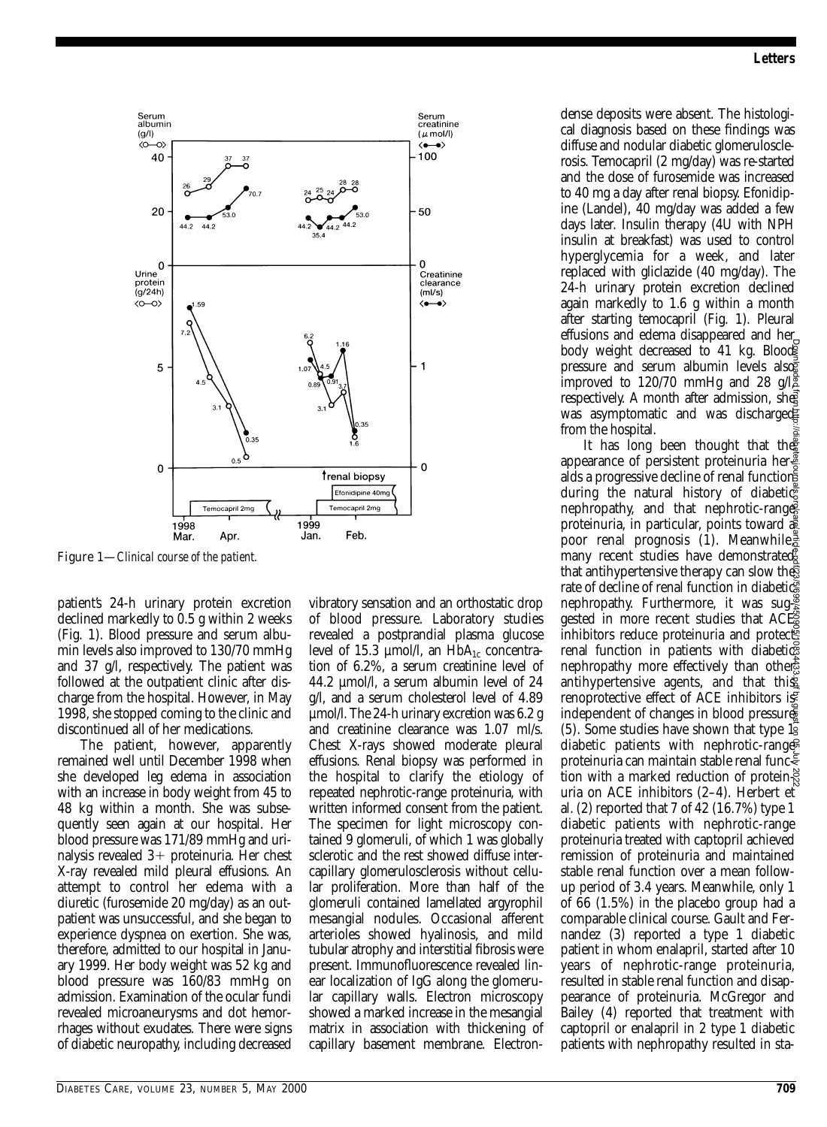

patient's 24-h urinary protein excretion declined markedly to 0.5 g within 2 weeks (Fig. 1). Blood pressure and serum albumin levels also improved to 130/70 mmHg and 37 g/l, respectively. The patient was followed at the outpatient clinic after discharge from the hospital. However, in May 1998, she stopped coming to the clinic and discontinued all of her medications.

The patient, however, apparently remained well until December 1998 when she developed leg edema in association with an increase in body weight from 45 to 48 kg within a month. She was subsequently seen again at our hospital. Her blood pressure was 171/89 mmHg and urinalysis revealed  $3+$  proteinuria. Her chest X-ray revealed mild pleural effusions. An attempt to control her edema with a diuretic (furosemide 20 mg/day) as an outpatient was unsuccessful, and she began to experience dyspnea on exertion. She was, therefore, admitted to our hospital in January 1999. Her body weight was 52 kg and blood pressure was 160/83 mmHg on admission. Examination of the ocular fundi revealed microaneurysms and dot hemorrhages without exudates. There were signs of diabetic neuropathy, including decreased vibratory sensation and an orthostatic drop of blood pressure. Laboratory studies revealed a postprandial plasma glucose level of 15.3 µmol/l, an HbA<sub>1c</sub> concentration of 6.2%, a serum creatinine level of 44.2 µmol/l, a serum albumin level of 24 g/l, and a serum cholesterol level of 4.89 µmol/l. The 24-h urinary excretion was 6.2 g and creatinine clearance was 1.07 ml/s. Chest X-rays showed moderate pleural effusions. Renal biopsy was performed in the hospital to clarify the etiology of repeated nephrotic-range proteinuria, with written informed consent from the patient. The specimen for light microscopy contained 9 glomeruli, of which 1 was globally sclerotic and the rest showed diffuse intercapillary glomerulosclerosis without cellular proliferation. More than half of the glomeruli contained lamellated argyrophil mesangial nodules. Occasional afferent arterioles showed hyalinosis, and mild tubular atrophy and interstitial fibrosis were present. Immunofluorescence revealed linear localization of IgG along the glomerular capillary walls. Electron microscopy showed a marked increase in the mesangial matrix in association with thickening of capillary basement membrane. Electrondense deposits were absent. The histological diagnosis based on these findings was diffuse and nodular diabetic glomerulosclerosis. Temocapril (2 mg/day) was re-started and the dose of furosemide was increased to 40 mg a day after renal biopsy. Efonidipine (Landel), 40 mg/day was added a few days later. Insulin therapy (4U with NPH insulin at breakfast) was used to control hyperglycemia for a week, and later replaced with gliclazide (40 mg/day). The 24-h urinary protein excretion declined again markedly to 1.6 g within a month after starting temocapril (Fig. 1). Pleural effusions and edema disappeared and her body weight decreased to 41 kg. Blood pressure and serum albumin levels also improved to 120/70 mmHg and 28  $g/\sqrt{2}$ respectively. A month after admission, she was asymptomatic and was discharged from the hospital.

It has long been thought that the appearance of persistent proteinuria her $\frac{3}{2}$ alds a progressive decline of renal function during the natural history of diabetic nephropathy, and that nephrotic-range proteinuria, in particular, points toward a poor renal prognosis (1). Meanwhile, many recent studies have demonstrated that antihypertensive therapy can slow the rate of decline of renal function in diabetic nephropathy. Furthermore, it was sug- $\frac{8}{5}$ gested in more recent studies that ACE inhibitors reduce proteinuria and protected renal function in patients with diabetics nephropathy more effectively than other antihypertensive agents, and that this renoprotective effect of ACE inhibitors is independent of changes in blood pressure  $(5)$ . Some studies have shown that type  $1\overline{9}$ diabetic patients with nephrotic-range proteinuria can maintain stable renal function with a marked reduction of protein $\frac{8}{6}$ uria on ACE inhibitors (2–4). Herbert et al. (2) reported that 7 of 42 (16.7%) type 1 diabetic patients with nephrotic-range proteinuria treated with captopril achieved remission of proteinuria and maintained stable renal function over a mean followup period of 3.4 years. Meanwhile, only 1 of 66 (1.5%) in the placebo group had a comparable clinical course. Gault and Fernandez (3) reported a type 1 diabetic patient in whom enalapril, started after 10 years of nephrotic-range proteinuria, resulted in stable renal function and disappearance of proteinuria. McGregor and Bailey (4) reported that treatment with captopril or enalapril in 2 type 1 diabetic patients with nephropathy resulted in sta-Figure 1—Clinical course of the patient. The patient difference of the patient and particle in the solution of the patient of the patient of the patient of the patient of the solution of the solution of the patient of the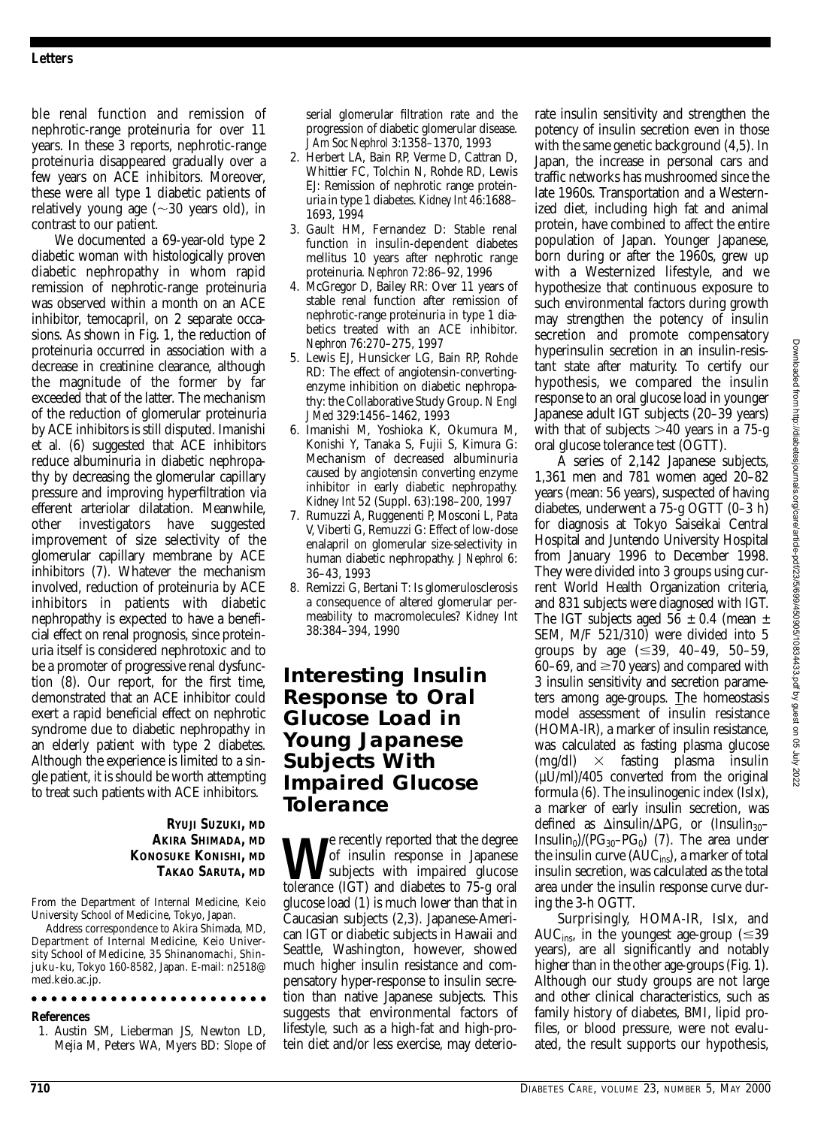ble renal function and remission of nephrotic-range proteinuria for over 11 years. In these 3 reports, nephrotic-range proteinuria disappeared gradually over a few years on ACE inhibitors. Moreover, these were all type 1 diabetic patients of relatively young age ( $\sim\!30$  years old), in contrast to our patient.

We documented a 69-year-old type 2 diabetic woman with histologically proven diabetic nephropathy in whom rapid remission of nephrotic-range proteinuria was observed within a month on an ACE inhibitor, temocapril, on 2 separate occasions. As shown in Fig. 1, the reduction of proteinuria occurred in association with a decrease in creatinine clearance, although the magnitude of the former by far exceeded that of the latter. The mechanism of the reduction of glomerular proteinuria by ACE inhibitors is still disputed. Imanishi et al. (6) suggested that ACE inhibitors reduce albuminuria in diabetic nephropathy by decreasing the glomerular capillary pressure and improving hyperfiltration via efferent arteriolar dilatation. Meanwhile, other investigators have suggested improvement of size selectivity of the glomerular capillary membrane by ACE inhibitors (7). Whatever the mechanism involved, reduction of proteinuria by ACE inhibitors in patients with diabetic nephropathy is expected to have a beneficial effect on renal prognosis, since proteinuria itself is considered nephrotoxic and to be a promoter of progressive renal dysfunction (8). Our report, for the first time, demonstrated that an ACE inhibitor could exert a rapid beneficial effect on nephrotic syndrome due to diabetic nephropathy in an elderly patient with type 2 diabetes. Although the experience is limited to a single patient, it is should be worth attempting to treat such patients with ACE inhibitors.

### **RYUJI SUZUKI, MD AKIRA SHIMADA, MD KONOSUKE KONISHI, MD TAKAO SARUTA, MD**

From the Department of Internal Medicine, Keio University School of Medicine, Tokyo, Japan.

Address correspondence to Akira Shimada, MD, Department of Internal Medicine, Keio University School of Medicine, 35 Shinanomachi, Shinjuku-ku, Tokyo 160-8582, Japan. E-mail: n2518@ med.keio.ac.jp.

### 

#### **References**

1. Austin SM, Lieberman JS, Newton LD, Mejia M, Peters WA, Myers BD: Slope of serial glomerular filtration rate and the progression of diabetic glomerular disease. *J Am Soc Nephrol* 3:1358–1370, 1993

- 2. Herbert LA, Bain RP, Verme D, Cattran D, Whittier FC, Tolchin N, Rohde RD, Lewis EJ: Remission of nephrotic range proteinuria in type 1 diabetes. *Kidney Int* 46:1688– 1693, 1994
- 3. Gault HM, Fernandez D: Stable renal function in insulin-dependent diabetes mellitus 10 years after nephrotic range proteinuria. *Nephron* 72:86–92, 1996
- 4. McGregor D, Bailey RR: Over 11 years of stable renal function after remission of nephrotic-range proteinuria in type 1 diabetics treated with an ACE inhibitor. *Nephron* 76:270–275, 1997
- 5. Lewis EJ, Hunsicker LG, Bain RP, Rohde RD: The effect of angiotensin-convertingenzyme inhibition on diabetic nephropathy: the Collaborative Study Group. *N Engl J Med* 329:1456–1462, 1993
- 6. Imanishi M, Yoshioka K, Okumura M, Konishi Y, Tanaka S, Fujii S, Kimura G: Mechanism of decreased albuminuria caused by angiotensin converting enzyme inhibitor in early diabetic nephropathy. *Kidney Int* 52 (Suppl. 63):198–200, 1997
- 7. Rumuzzi A, Ruggenenti P, Mosconi L, Pata V, Viberti G, Remuzzi G: Effect of low-dose enalapril on glomerular size-selectivity in human diabetic nephropathy. *J Nephrol* 6: 36–43, 1993
- 8. Remizzi G, Bertani T: Is glomerulosclerosis a consequence of altered glomerular permeability to macromolecules? *Kidney Int* 38:384–394, 1990

### **Interesting Insulin Response to Oral Glucose Load in Young Japanese Subjects With Impaired Glucose Tolerance**

**We** recently reported that the degree<br>subjects with impaired glucose<br>tolerance (IGT) and diabetes to 75-g oral of insulin response in Japanese tolerance (IGT) and diabetes to 75-g oral glucose load (1) is much lower than that in Caucasian subjects (2,3). Japanese-American IGT or diabetic subjects in Hawaii and Seattle, Washington, however, showed much higher insulin resistance and compensatory hyper-response to insulin secretion than native Japanese subjects. This suggests that environmental factors of lifestyle, such as a high-fat and high-protein diet and/or less exercise, may deteriorate insulin sensitivity and strengthen the potency of insulin secretion even in those with the same genetic background (4,5). In Japan, the increase in personal cars and traffic networks has mushroomed since the late 1960s. Transportation and a Westernized diet, including high fat and animal protein, have combined to affect the entire population of Japan. Younger Japanese, born during or after the 1960s, grew up with a Westernized lifestyle, and we hypothesize that continuous exposure to such environmental factors during growth may strengthen the potency of insulin secretion and promote compensatory hyperinsulin secretion in an insulin-resistant state after maturity. To certify our hypothesis, we compared the insulin response to an oral glucose load in younger Japanese adult IGT subjects (20–39 years) with that of subjects  $>40$  years in a 75-g oral glucose tolerance test (OGTT).

A series of 2,142 Japanese subjects, 1,361 men and 781 women aged 20–82 years (mean: 56 years), suspected of having diabetes, underwent a 75-g OGTT (0–3 h) for diagnosis at Tokyo Saiseikai Central Hospital and Juntendo University Hospital from January 1996 to December 1998. They were divided into 3 groups using current World Health Organization criteria, and 831 subjects were diagnosed with IGT. The IGT subjects aged  $56 \pm 0.4$  (mean  $\pm$ SEM, M/F 521/310) were divided into 5 groups by age  $(\leq 39, 40-49, 50-59,$  $60-69$ , and  $\geq 70$  years) and compared with 3 insulin sensitivity and secretion parameters among age-groups. The homeostasis model assessment of insulin resistance (HOMA-IR), a marker of insulin resistance, was calculated as fasting plasma glucose (mg/dl) fasting plasma insulin  $(\mu U/ml)/405$  converted from the original formula (6). The insulinogenic index (IsIx), a marker of early insulin secretion, was defined as  $\Delta$ insulin/ $\Delta$ PG, or (Insulin<sub>30</sub>– Insulin<sub>0</sub>)/( $PG_{30}$ – $PG_{0}$ ) (7). The area under the insulin curve  $(AUC_{ins})$ , a marker of total insulin secretion, was calculated as the total area under the insulin response curve during the 3-h OGTT.

Surprisingly, HOMA-IR, IsIx, and AUC<sub>ins</sub>, in the youngest age-group ( $\leq 39$ ) years), are all significantly and notably higher than in the other age-groups (Fig. 1). Although our study groups are not large and other clinical characteristics, such as family history of diabetes, BMI, lipid profiles, or blood pressure, were not evaluated, the result supports our hypothesis,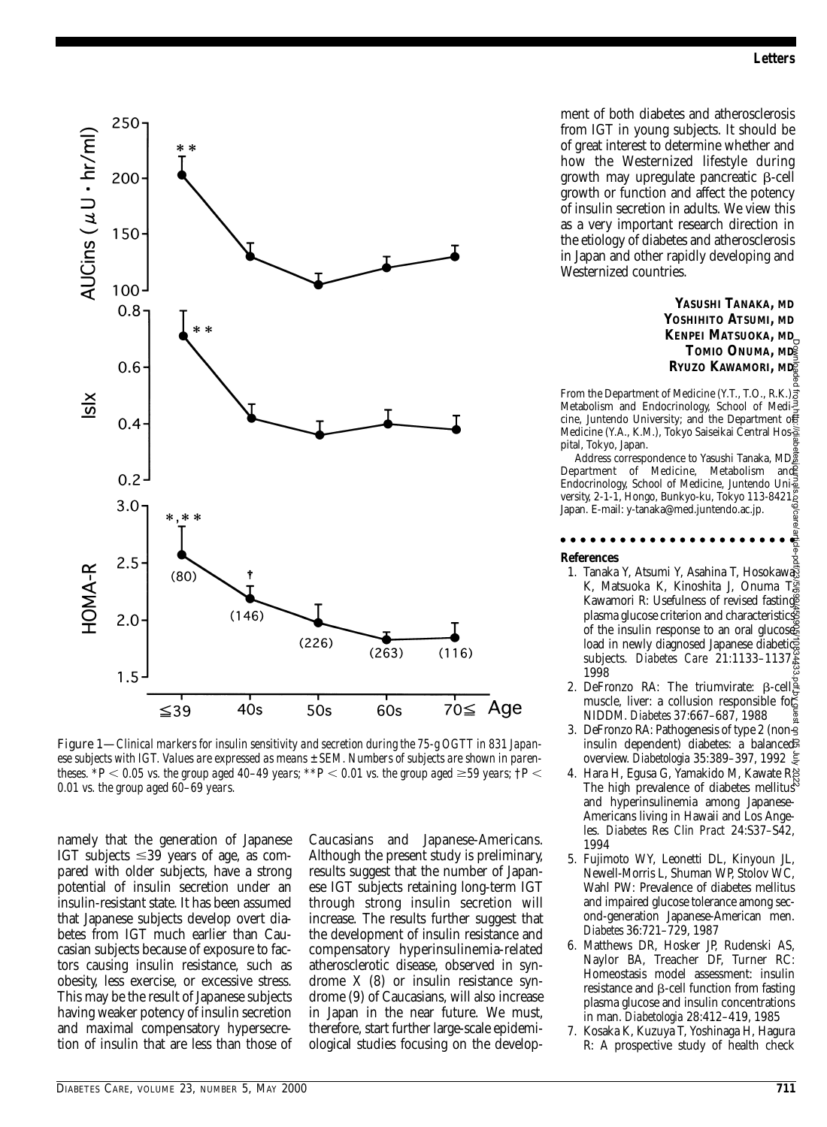

Figure 1—*Clinical markers for insulin sensitivity and secretion during the 75-g OGTT in 831 Japanese subjects with IGT. Values are expressed as means ± SEM. Numbers of subjects are shown in parentheses.*  $*P < 0.05$  vs. the group aged 40–49 years;  $*P < 0.01$  vs. the group aged  $\geq 59$  years;  $\dagger P < 0.01$ *0.01 vs. the group aged 60*–*69 years.*

namely that the generation of Japanese IGT subjects  $\leq 39$  years of age, as compared with older subjects, have a strong potential of insulin secretion under an insulin-resistant state. It has been assumed that Japanese subjects develop overt diabetes from IGT much earlier than Caucasian subjects because of exposure to factors causing insulin resistance, such as obesity, less exercise, or excessive stress. This may be the result of Japanese subjects having weaker potency of insulin secretion and maximal compensatory hypersecretion of insulin that are less than those of Caucasians and Japanese-Americans. Although the present study is preliminary, results suggest that the number of Japanese IGT subjects retaining long-term IGT through strong insulin secretion will increase. The results further suggest that the development of insulin resistance and compensatory hyperinsulinemia-related atherosclerotic disease, observed in syndrome X (8) or insulin resistance syndrome (9) of Caucasians, will also increase in Japan in the near future. We must, therefore, start further large-scale epidemiological studies focusing on the development of both diabetes and atherosclerosis from IGT in young subjects. It should be of great interest to determine whether and how the Westernized lifestyle during growth may upregulate pancreatic  $\beta$ -cell growth or function and affect the potency of insulin secretion in adults. We view this as a very important research direction in the etiology of diabetes and atherosclerosis in Japan and other rapidly developing and Westernized countries.

> **YASUSHI TANAKA, MD YOSHIHITO ATSUMI, MD KENPEI MATSUOKA, MD TOMIO ONUMA, MD RYUZO KAWAMORI, MD**

From the Department of Medicine (Y.T., T.O., R.K.) $\vec{s}$ Metabolism and Endocrinology, School of Medicine, Juntendo University; and the Department of Medicine (Y.A., K.M.), Tokyo Saiseikai Central Hos pital, Tokyo, Japan.

Address correspondence to Yasushi Tanaka, MD, Address correspondence to Tasushi Tanaka, MD Endocrinology, School of Medicine, Juntendo Uni $\frac{3}{8}$ versity, 2-1-1, Hongo, Bunkyo-ku, Tokyo 113-8421, Japan. E-mail: y-tanaka@med.juntendo.ac.jp.

...... **References**

- 1. Tanaka Y, Atsumi Y, Asahina T, Hosokawa K, Matsuoka K, Kinoshita J, Onuma TS Kawamori R: Usefulness of revised fasting plasma glucose criterion and characteristics of the insulin response to an oral glucose load in newly diagnosed Japanese diabetics subjects. *Diabetes Care* 21:1133–1137, 1998 Downloaded from http://diabetesjournals.org/care/article-pdf/23/5/699/450905/10834433.pdf by guest on 05 July 2022
- 2. DeFronzo RA: The triumvirate:  $\beta$ -cell $\frac{3}{2}$ muscle, liver: a collusion responsible for NIDDM. *Diabetes* 37:667–687, 1988
- 3. DeFronzo RA: Pathogenesis of type 2 (noninsulin dependent) diabetes: a balanced overview. *Diabetologia* 35:389–397, 1992
- 4. Hara H, Egusa G, Yamakido M, Kawate R: The high prevalence of diabetes mellitus and hyperinsulinemia among Japanese-Americans living in Hawaii and Los Angeles. *Diabetes Res Clin Pract* 24:S37–S42, 1994
- 5. Fujimoto WY, Leonetti DL, Kinyoun JL, Newell-Morris L, Shuman WP, Stolov WC, Wahl PW: Prevalence of diabetes mellitus and impaired glucose tolerance among second-generation Japanese-American men. *Diabetes* 36:721–729, 1987
- 6. Matthews DR, Hosker JP, Rudenski AS, Naylor BA, Treacher DF, Turner RC: Homeostasis model assessment: insulin resistance and  $\beta$ -cell function from fasting plasma glucose and insulin concentrations in man. *Diabetologia* 28:412–419, 1985
- 7. Kosaka K, Kuzuya T, Yoshinaga H, Hagura R: A prospective study of health check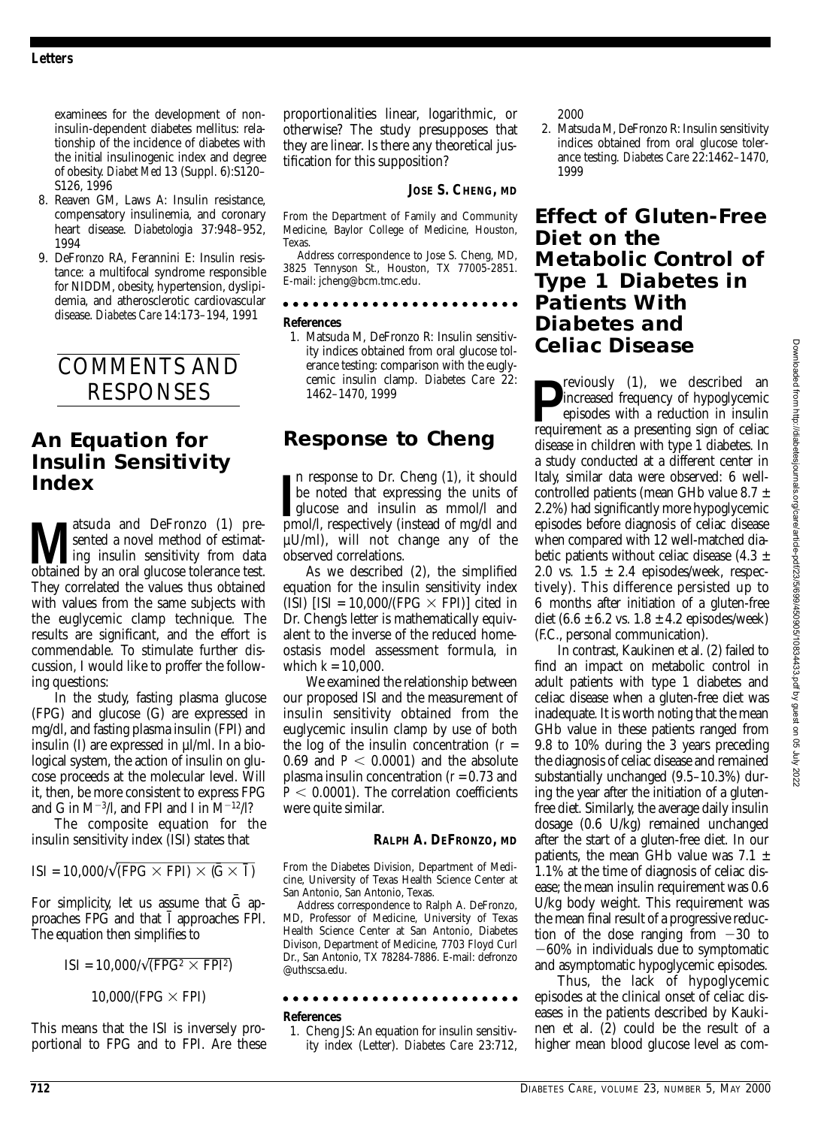examinees for the development of noninsulin-dependent diabetes mellitus: relationship of the incidence of diabetes with the initial insulinogenic index and degree of obesity. *Diabet Med* 13 (Suppl. 6):S120– S126, 1996

- 8. Reaven GM, Laws A: Insulin resistance, compensatory insulinemia, and coronary heart disease. *Diabetologia* 37:948–952, 1994
- 9. DeFronzo RA, Ferannini E: Insulin resistance: a multifocal syndrome responsible for NIDDM, obesity, hypertension, dyslipidemia, and atherosclerotic cardiovascular disease. *Diabetes Care* 14:173–194, 1991

COMMENTS AND RESPONSES

## **An Equation for Insulin Sensitivity Index**

**Matsuda and DeFronzo** (1) pre-<br>
ing insulin sensitivity from data<br>
obtained by an oral glucose tolerance test sented a novel method of estimatobtained by an oral glucose tolerance test. They correlated the values thus obtained with values from the same subjects with the euglycemic clamp technique. The results are significant, and the effort is commendable. To stimulate further discussion, I would like to proffer the following questions:

In the study, fasting plasma glucose (FPG) and glucose (G) are expressed in mg/dl, and fasting plasma insulin (FPI) and insulin (I) are expressed in µl/ml. In a biological system, the action of insulin on glucose proceeds at the molecular level. Will it, then, be more consistent to express FPG and G in M<sup>-3</sup>/l, and FPI and I in  $M^{-12}/l$ ?

The composite equation for the insulin sensitivity index (ISI) states that

$$
ISI = 10,000/\sqrt{(FPG \times FPI) \times (\overline{G} \times \overline{I})}
$$

For simplicity, let us assume that  $\bar{G}$  approaches FPG and that  $\overline{I}$  approaches FPI. The equation then simplifies to

### $ISI = 10,000/\sqrt{(FPG^2 \times FPI^2)}$

 $10,000$ /(FPG  $\times$  FPI)

This means that the ISI is inversely proportional to FPG and to FPI. Are these proportionalities linear, logarithmic, or otherwise? The study presupposes that they are linear. Is there any theoretical justification for this supposition?

### **JOSE S. CHENG, MD**

From the Department of Family and Community Medicine, Baylor College of Medicine, Houston, Texas.

Address correspondence to Jose S. Cheng, MD, 3825 Tennyson St., Houston, TX 77005-2851. E-mail: jcheng@bcm.tmc.edu.

**References**

1. Matsuda M, DeFronzo R: Insulin sensitivity indices obtained from oral glucose tolerance testing: comparison with the euglycemic insulin clamp. *Diabetes Care* 22: 1462–1470, 1999

### **Response to Cheng**

In response to Dr. Cheng (1), it should be noted that expressing the units of glucose and insulin as mmol/l and pmol/l, respectively (instead of mg/dl and n response to Dr. Cheng (1), it should be noted that expressing the units of glucose and insulin as mmol/l and µU/ml), will not change any of the observed correlations.

As we described (2), the simplified equation for the insulin sensitivity index (ISI) [ISI = 10,000/(FPG  $\times$  FPI)] cited in Dr. Cheng's letter is mathematically equivalent to the inverse of the reduced homeostasis model assessment formula, in which *k* = 10,000.

We examined the relationship between our proposed ISI and the measurement of insulin sensitivity obtained from the euglycemic insulin clamp by use of both the log of the insulin concentration  $(r =$  $0.69$  and  $P < 0.0001$ ) and the absolute plasma insulin concentration (*r* = 0.73 and  $P < 0.0001$ ). The correlation coefficients were quite similar.

### **RALPH A. DEFRONZO, MD**

From the Diabetes Division, Department of Medicine, University of Texas Health Science Center at San Antonio, San Antonio, Texas.

Address correspondence to Ralph A. DeFronzo, MD, Professor of Medicine, University of Texas Health Science Center at San Antonio, Diabetes Divison, Department of Medicine, 7703 Floyd Curl Dr., San Antonio, TX 78284-7886. E-mail: defronzo @uthscsa.edu.

### 

#### **References**

1. Cheng JS: An equation for insulin sensitivity index (Letter). *Diabetes Care* 23:712, 2000

2. Matsuda M, DeFronzo R: Insulin sensitivity indices obtained from oral glucose tolerance testing. *Diabetes Care* 22:1462–1470, 1999

### **Effect of Gluten-Free Diet on the Metabolic Control of Type 1 Diabetes in Patients With Diabetes and Celiac Disease**

**P**increased frequency of hypoglycemic<br>
episodes with a reduction in insulin<br>
requirement as a presenting sign of celiac reviously (1), we described an increased frequency of hypoglycemic episodes with a reduction in insulin disease in children with type 1 diabetes. In a study conducted at a different center in Italy, similar data were observed: 6 wellcontrolled patients (mean GHb value 8.7 ± 2.2%) had significantly more hypoglycemic episodes before diagnosis of celiac disease when compared with 12 well-matched diabetic patients without celiac disease  $(4.3 \pm$ 2.0 vs.  $1.5 \pm 2.4$  episodes/week, respectively). This difference persisted up to 6 months after initiation of a gluten-free diet  $(6.6 \pm 6.2 \text{ vs. } 1.8 \pm 4.2 \text{ episodes/week})$ (F.C., personal communication).

In contrast, Kaukinen et al. (2) failed to find an impact on metabolic control in adult patients with type 1 diabetes and celiac disease when a gluten-free diet was inadequate. It is worth noting that the mean GHb value in these patients ranged from 9.8 to 10% during the 3 years preceding the diagnosis of celiac disease and remained substantially unchanged (9.5–10.3%) during the year after the initiation of a glutenfree diet. Similarly, the average daily insulin dosage (0.6 U/kg) remained unchanged after the start of a gluten-free diet. In our patients, the mean GHb value was  $7.1 \pm$ 1.1% at the time of diagnosis of celiac disease; the mean insulin requirement was 0.6 U/kg body weight. This requirement was the mean final result of a progressive reduction of the dose ranging from  $-30$  to  $-60\%$  in individuals due to symptomatic and asymptomatic hypoglycemic episodes.

Thus, the lack of hypoglycemic episodes at the clinical onset of celiac diseases in the patients described by Kaukinen et al. (2) could be the result of a higher mean blood glucose level as com-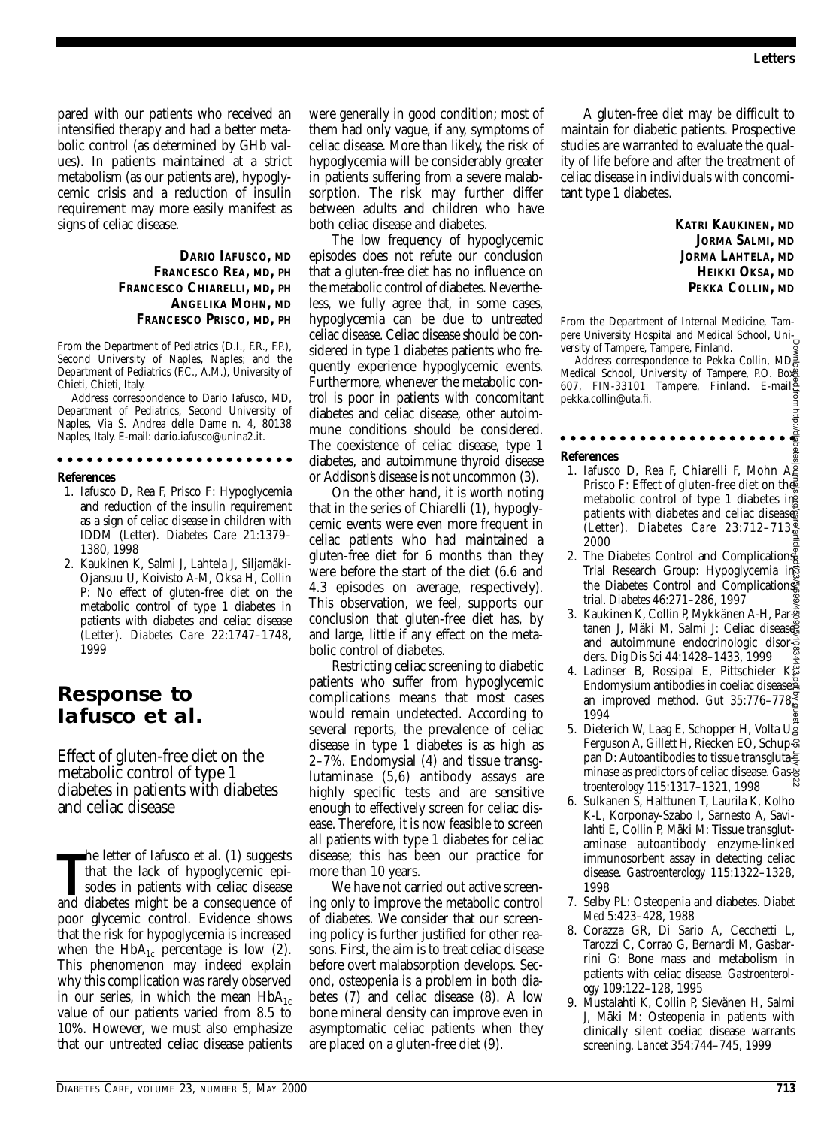lttp:/

pared with our patients who received an intensified therapy and had a better metabolic control (as determined by GHb values). In patients maintained at a strict metabolism (as our patients are), hypoglycemic crisis and a reduction of insulin requirement may more easily manifest as signs of celiac disease.

### **DARIO IAFUSCO, MD FRANCESCO REA, MD, PH FRANCESCO CHIARELLI, MD, PH ANGELIKA MOHN, MD FRANCESCO PRISCO, MD, PH**

From the Department of Pediatrics (D.I., F.R., F.P.), Second University of Naples, Naples; and the Department of Pediatrics (F.C., A.M.), University of Chieti, Chieti, Italy.

Address correspondence to Dario Iafusco, MD, Department of Pediatrics, Second University of Naples, Via S. Andrea delle Dame n. 4, 80138 Naples, Italy. E-mail: dario.iafusco@unina2.it.

### 

#### **References**

- 1. Iafusco D, Rea F, Prisco F: Hypoglycemia and reduction of the insulin requirement as a sign of celiac disease in children with IDDM (Letter). *Diabetes Care* 21:1379– 1380, 1998
- 2. Kaukinen K, Salmi J, Lahtela J, Siljamäki-Ojansuu U, Koivisto A-M, Oksa H, Collin P: No effect of gluten-free diet on the metabolic control of type 1 diabetes in patients with diabetes and celiac disease (Letter). *Diabetes Care* 22:1747–1748, 1999

### **Response to Iafusco et al.**

Effect of gluten-free diet on the metabolic control of type 1 diabetes in patients with diabetes and celiac disease

The letter of lafusco et al. (1) suggests<br>that the lack of hypoglycemic epi-<br>sodes in patients with celiac disease<br>and diabetes might be a consequence of he letter of Iafusco et al. (1) suggests that the lack of hypoglycemic episodes in patients with celiac disease poor glycemic control. Evidence shows that the risk for hypoglycemia is increased when the  $HbA_{1c}$  percentage is low (2). This phenomenon may indeed explain why this complication was rarely observed in our series, in which the mean  $HbA_{1c}$ value of our patients varied from 8.5 to 10%. However, we must also emphasize that our untreated celiac disease patients

were generally in good condition; most of them had only vague, if any, symptoms of celiac disease. More than likely, the risk of hypoglycemia will be considerably greater in patients suffering from a severe malabsorption. The risk may further differ between adults and children who have both celiac disease and diabetes.

The low frequency of hypoglycemic episodes does not refute our conclusion that a gluten-free diet has no influence on the metabolic control of diabetes. Nevertheless, we fully agree that, in some cases, hypoglycemia can be due to untreated celiac disease. Celiac disease should be considered in type 1 diabetes patients who frequently experience hypoglycemic events. Furthermore, whenever the metabolic control is poor in patients with concomitant diabetes and celiac disease, other autoimmune conditions should be considered. The coexistence of celiac disease, type 1 diabetes, and autoimmune thyroid disease or Addison's disease is not uncommon (3).

On the other hand, it is worth noting that in the series of Chiarelli (1), hypoglycemic events were even more frequent in celiac patients who had maintained a gluten-free diet for 6 months than they were before the start of the diet (6.6 and 4.3 episodes on average, respectively). This observation, we feel, supports our conclusion that gluten-free diet has, by and large, little if any effect on the metabolic control of diabetes.

Restricting celiac screening to diabetic patients who suffer from hypoglycemic complications means that most cases would remain undetected. According to several reports, the prevalence of celiac disease in type 1 diabetes is as high as 2–7%. Endomysial (4) and tissue transglutaminase (5,6) antibody assays are highly specific tests and are sensitive enough to effectively screen for celiac disease. Therefore, it is now feasible to screen all patients with type 1 diabetes for celiac disease; this has been our practice for more than 10 years.

We have not carried out active screening only to improve the metabolic control of diabetes. We consider that our screening policy is further justified for other reasons. First, the aim is to treat celiac disease before overt malabsorption develops. Second, osteopenia is a problem in both diabetes (7) and celiac disease (8). A low bone mineral density can improve even in asymptomatic celiac patients when they are placed on a gluten-free diet (9).

A gluten-free diet may be difficult to maintain for diabetic patients. Prospective studies are warranted to evaluate the quality of life before and after the treatment of celiac disease in individuals with concomitant type 1 diabetes.

> **KATRI KAUKINEN, MD JORMA SALMI, MD JORMA LAHTELA, MD HEIKKI OKSA, MD PEKKA COLLIN, MD**

From the Department of Internal Medicine, Tampere University Hospital and Medical School, University of Tampere, Tampere, Finland.

Address correspondence to Pekka Collin, MD, Medical School, University of Tampere, P.O. Box 607, FIN-33101 Tampere, Finland. E-mail: pekka.collin@uta.fi.

. . . . . . . . . . . . . . . . . .

### **References**

- 1. Iafusco D, Rea F, Chiarelli F, Mohn A, Prisco F: Effect of gluten-free diet on the metabolic control of type 1 diabetes in patients with diabetes and celiac diseases (Letter). *Diabetes Care* 23:712–713, 2000 Downloaded from http://diabetesjournals.org/care/article-pdf/23/5/699/450905/10834433.pdf by guest on 05 July 2022
- 2. The Diabetes Control and Complications Trial Research Group: Hypoglycemia in the Diabetes Control and Complications trial. *Diabetes* 46:271–286, 1997
- 3. Kaukinen K, Collin P, Mykkänen A-H, Partanen J, Mäki M, Salmi J: Celiac disease and autoimmune endocrinologic disorders. *Dig Dis Sci* 44:1428–1433, 1999
- 4. Ladinser B, Rossipal E, Pittschieler K $\approx$ Endomysium antibodies in coeliac disease: an improved method. *Gut* 35:776–778, 1994
- 5. Dieterich W, Laag E, Schopper H, Volta Ug Ferguson A, Gillett H, Riecken EO, Schuppan D: Autoantibodies to tissue transglutaminase as predictors of celiac disease. *Gastroenterology* 115:1317–1321, 1998
- 6. Sulkanen S, Halttunen T, Laurila K, Kolho K-L, Korponay-Szabo I, Sarnesto A, Savilahti E, Collin P, Mäki M: Tissue transglutaminase autoantibody enzyme-linked immunosorbent assay in detecting celiac disease. *Gastroenterology* 115:1322–1328, 1998
- 7. Selby PL: Osteopenia and diabetes. *Diabet Med* 5:423–428, 1988
- 8. Corazza GR, Di Sario A, Cecchetti L, Tarozzi C, Corrao G, Bernardi M, Gasbarrini G: Bone mass and metabolism in patients with celiac disease. *Gastroenterology* 109:122–128, 1995
- 9. Mustalahti K, Collin P, Sievänen H, Salmi J, Mäki M: Osteopenia in patients with clinically silent coeliac disease warrants screening. *Lancet* 354:744–745, 1999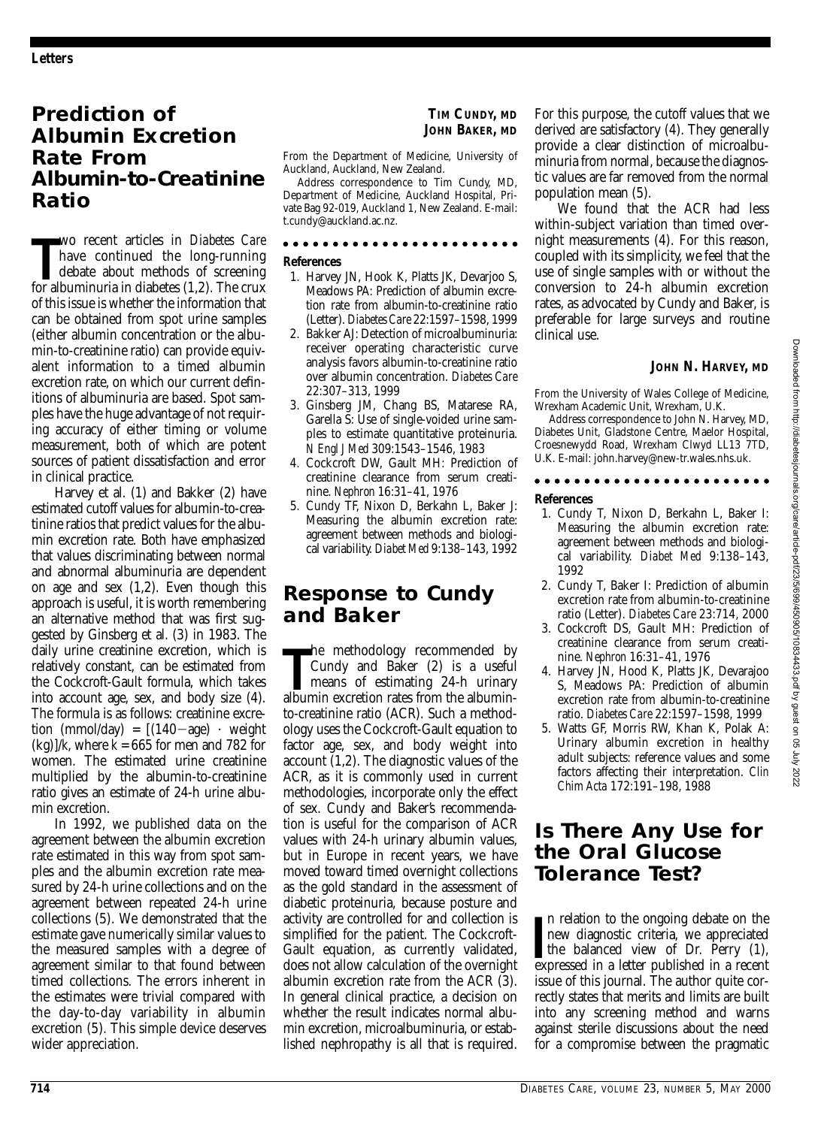## **Prediction of Albumin Excretion Rate From Albumin-to-Creatinine Ratio**

**The Term and School and School and School and School and School albuminuria in diabetes (1,2). The crux** wo recent articles in *Diabetes Care* have continued the long-running debate about methods of screening of this issue is whether the information that can be obtained from spot urine samples (either albumin concentration or the albumin-to-creatinine ratio) can provide equivalent information to a timed albumin excretion rate, on which our current definitions of albuminuria are based. Spot samples have the huge advantage of not requiring accuracy of either timing or volume measurement, both of which are potent sources of patient dissatisfaction and error in clinical practice.

Harvey et al. (1) and Bakker (2) have estimated cutoff values for albumin-to-creatinine ratios that predict values for the albumin excretion rate. Both have emphasized that values discriminating between normal and abnormal albuminuria are dependent on age and sex (1,2). Even though this approach is useful, it is worth remembering an alternative method that was first suggested by Ginsberg et al. (3) in 1983. The daily urine creatinine excretion, which is relatively constant, can be estimated from the Cockcroft-Gault formula, which takes into account age, sex, and body size (4). The formula is as follows: creatinine excretion (mmol/day) =  $[(140 - age) \cdot weight]$  $(kg)/k$ , where  $k = 665$  for men and 782 for women. The estimated urine creatinine multiplied by the albumin-to-creatinine ratio gives an estimate of 24-h urine albumin excretion.

In 1992, we published data on the agreement between the albumin excretion rate estimated in this way from spot samples and the albumin excretion rate measured by 24-h urine collections and on the agreement between repeated 24-h urine collections (5). We demonstrated that the estimate gave numerically similar values to the measured samples with a degree of agreement similar to that found between timed collections. The errors inherent in the estimates were trivial compared with the day-to-day variability in albumin excretion (5). This simple device deserves wider appreciation.

### **TIM CUNDY, MD JOHN BAKER, MD**

From the Department of Medicine, University of Auckland, Auckland, New Zealand.

Address correspondence to Tim Cundy, MD, Department of Medicine, Auckland Hospital, Private Bag 92-019, Auckland 1, New Zealand. E-mail: t.cundy@auckland.ac.nz.

### . . . . . . . . . . . . . . . . . . .

### **References**

- 1. Harvey JN, Hook K, Platts JK, Devarjoo S, Meadows PA: Prediction of albumin excretion rate from albumin-to-creatinine ratio (Letter). *Diabetes Care* 22:1597–1598, 1999
- 2. Bakker AJ: Detection of microalbuminuria: receiver operating characteristic curve analysis favors albumin-to-creatinine ratio over albumin concentration. *Diabetes Care* 22:307–313, 1999
- 3. Ginsberg JM, Chang BS, Matarese RA, Garella S: Use of single-voided urine samples to estimate quantitative proteinuria. *N Engl J Med* 309:1543–1546, 1983
- 4. Cockcroft DW, Gault MH: Prediction of creatinine clearance from serum creatinine. *Nephron* 16:31–41, 1976
- 5. Cundy TF, Nixon D, Berkahn L, Baker J: Measuring the albumin excretion rate: agreement between methods and biological variability. *Diabet Med* 9:138–143, 1992

### **Response to Cundy and Baker**

The methodology recommended by Cundy and Baker (2) is a useful means of estimating 24-h urinary albuminhe methodology recommended by Cundy and Baker (2) is a useful means of estimating 24-h urinary to-creatinine ratio (ACR). Such a methodology uses the Cockcroft-Gault equation to factor age, sex, and body weight into account (1,2). The diagnostic values of the ACR, as it is commonly used in current methodologies, incorporate only the effect of sex. Cundy and Baker's recommendation is useful for the comparison of ACR values with 24-h urinary albumin values, but in Europe in recent years, we have moved toward timed overnight collections as the gold standard in the assessment of diabetic proteinuria, because posture and activity are controlled for and collection is simplified for the patient. The Cockcroft-Gault equation, as currently validated, does not allow calculation of the overnight albumin excretion rate from the ACR (3). In general clinical practice, a decision on whether the result indicates normal albumin excretion, microalbuminuria, or established nephropathy is all that is required.

For this purpose, the cutoff values that we derived are satisfactory (4). They generally provide a clear distinction of microalbuminuria from normal, because the diagnostic values are far removed from the normal population mean (5).

We found that the ACR had less within-subject variation than timed overnight measurements (4). For this reason, coupled with its simplicity, we feel that the use of single samples with or without the conversion to 24-h albumin excretion rates, as advocated by Cundy and Baker, is preferable for large surveys and routine clinical use.

### **JOHN N. HARVEY, MD**

From the University of Wales College of Medicine, Wrexham Academic Unit, Wrexham, U.K.

Address correspondence to John N. Harvey, MD, Diabetes Unit, Gladstone Centre, Maelor Hospital, Croesnewydd Road, Wrexham Clwyd LL13 7TD, U.K. E-mail: john.harvey@new-tr.wales.nhs.uk.

### 

### **References**

- 1. Cundy T, Nixon D, Berkahn L, Baker I: Measuring the albumin excretion rate: agreement between methods and biological variability. *Diabet Med* 9:138–143, 1992
- 2. Cundy T, Baker I: Prediction of albumin excretion rate from albumin-to-creatinine ratio (Letter). *Diabetes Care* 23:714, 2000
- 3. Cockcroft DS, Gault MH: Prediction of creatinine clearance from serum creatinine. *Nephron* 16:31–41, 1976
- 4. Harvey JN, Hood K, Platts JK, Devarajoo S, Meadows PA: Prediction of albumin excretion rate from albumin-to-creatinine ratio. *Diabetes Care* 22:1597–1598, 1999
- 5. Watts GF, Morris RW, Khan K, Polak A: Urinary albumin excretion in healthy adult subjects: reference values and some factors affecting their interpretation. *Clin Chim Acta* 172:191–198, 1988

## **Is There Any Use for the Oral Glucose Tolerance Test?**

In relation to the ongoing debate on the<br>
new diagnostic criteria, we appreciated<br>
the balanced view of Dr. Perry (1),<br>
expressed in a letter published in a recent n relation to the ongoing debate on the new diagnostic criteria, we appreciated expressed in a letter published in a recent issue of this journal. The author quite correctly states that merits and limits are built into any screening method and warns against sterile discussions about the need for a compromise between the pragmatic